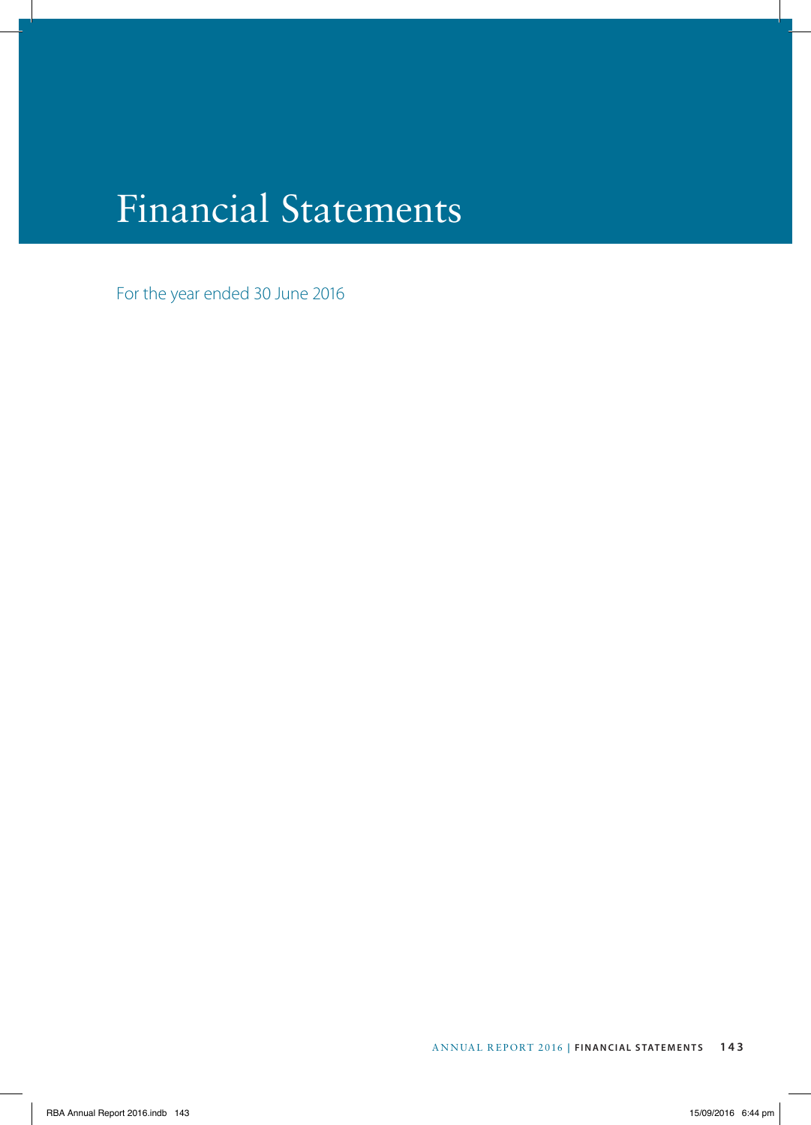# Financial Statements

For the year ended 30 June 2016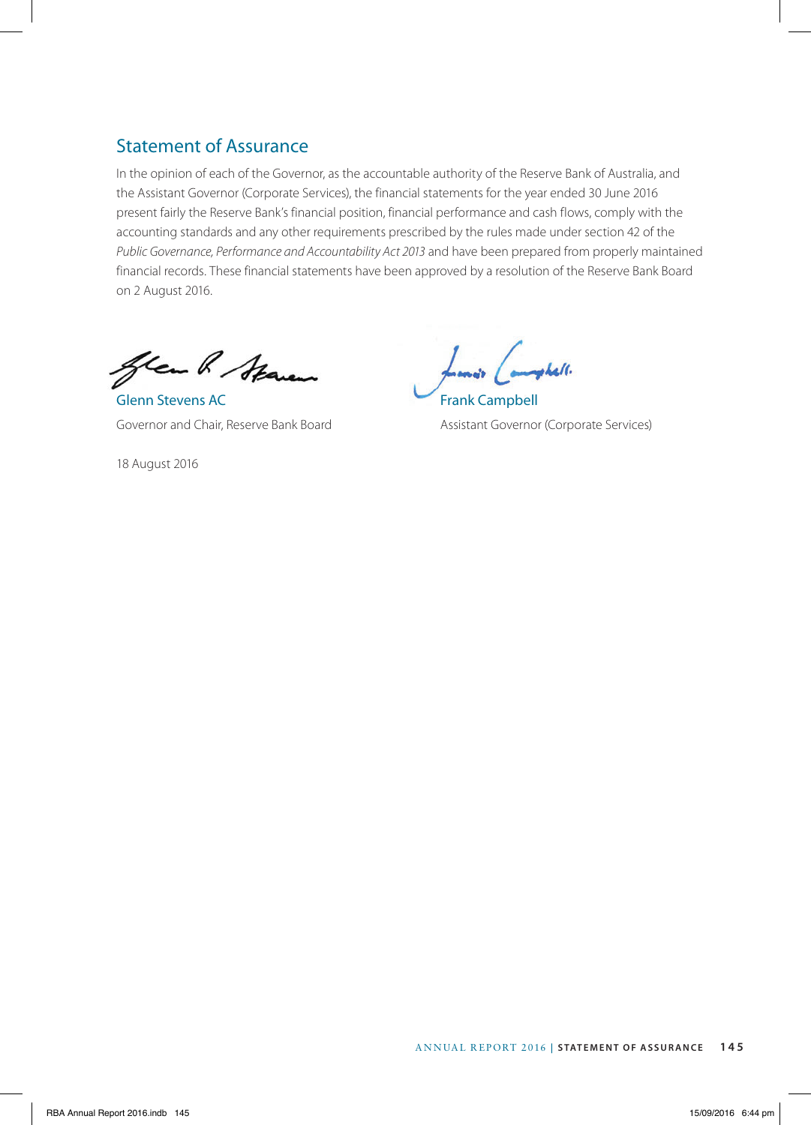# Statement of Assurance

In the opinion of each of the Governor, as the accountable authority of the Reserve Bank of Australia, and the Assistant Governor (Corporate Services), the financial statements for the year ended 30 June 2016 present fairly the Reserve Bank's financial position, financial performance and cash flows, comply with the accounting standards and any other requirements prescribed by the rules made under section 42 of the *Public Governance, Performance and Accountability Act 2013* and have been prepared from properly maintained financial records. These financial statements have been approved by a resolution of the Reserve Bank Board on 2 August 2016.

Gren R Staren

Glenn Stevens AC Frank Campbell

18 August 2016

Johall.

Governor and Chair, Reserve Bank Board **Assistant Governor (Corporate Services**)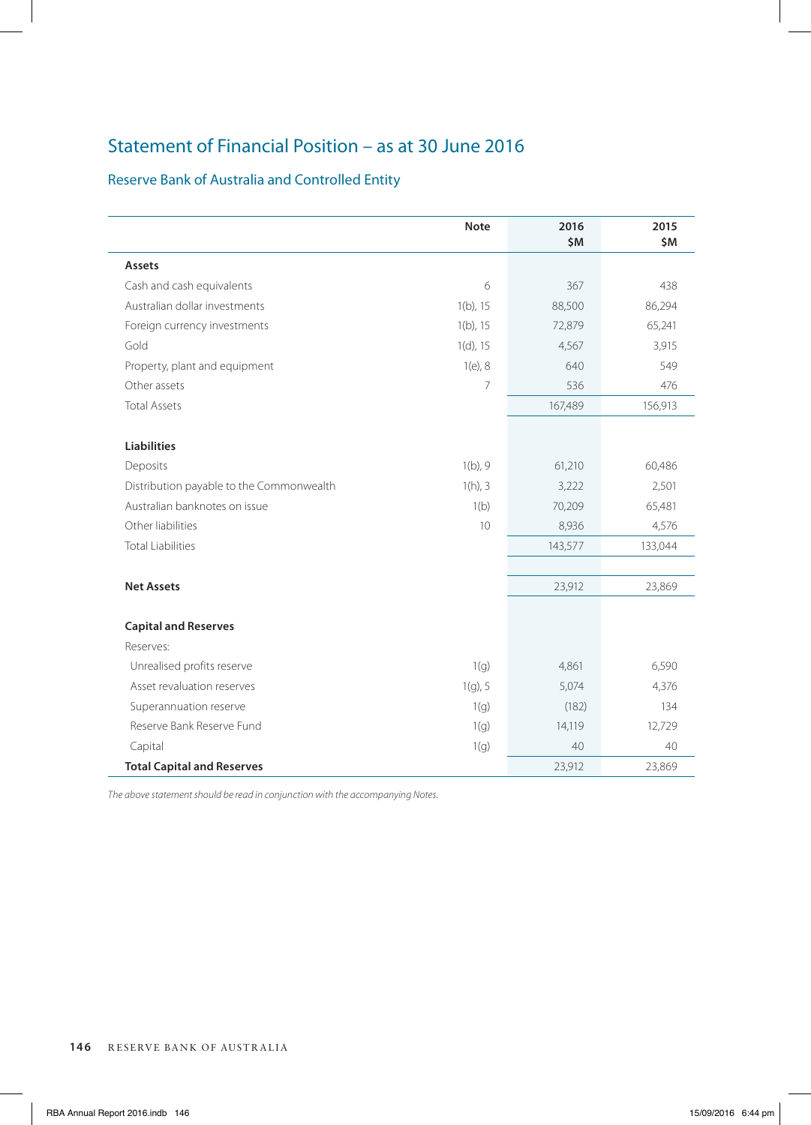# Statement of Financial Position – as at 30 June 2016

# Reserve Bank of Australia and Controlled Entity

|                                          | <b>Note</b> | 2016<br>\$M | 2015<br>\$M |
|------------------------------------------|-------------|-------------|-------------|
| Assets                                   |             |             |             |
| Cash and cash equivalents                | 6           | 367         | 438         |
| Australian dollar investments            | $1(b)$ , 15 | 88,500      | 86,294      |
| Foreign currency investments             | $1(b)$ , 15 | 72,879      | 65,241      |
| Gold                                     | $1(d)$ , 15 | 4,567       | 3,915       |
| Property, plant and equipment            | $1(e)$ , 8  | 640         | 549         |
| Other assets                             | 7           | 536         | 476         |
| <b>Total Assets</b>                      |             | 167,489     | 156,913     |
| <b>Liabilities</b>                       |             |             |             |
| Deposits                                 | $1(b)$ , 9  | 61,210      | 60,486      |
| Distribution payable to the Commonwealth | $1(h)$ , 3  | 3,222       | 2,501       |
| Australian banknotes on issue            | 1(b)        | 70,209      | 65,481      |
| Other liabilities                        | 10          | 8,936       | 4,576       |
| <b>Total Liabilities</b>                 |             | 143,577     | 133,044     |
| <b>Net Assets</b>                        |             | 23,912      | 23,869      |
| <b>Capital and Reserves</b>              |             |             |             |
| Reserves:                                |             |             |             |
| Unrealised profits reserve               | 1(g)        | 4,861       | 6,590       |
| Asset revaluation reserves               | $1(g)$ , 5  | 5,074       | 4,376       |
| Superannuation reserve                   | 1(q)        | (182)       | 134         |
| Reserve Bank Reserve Fund                | 1(q)        | 14,119      | 12,729      |
| Capital                                  | 1(g)        | 40          | 40          |
| <b>Total Capital and Reserves</b>        |             | 23,912      | 23,869      |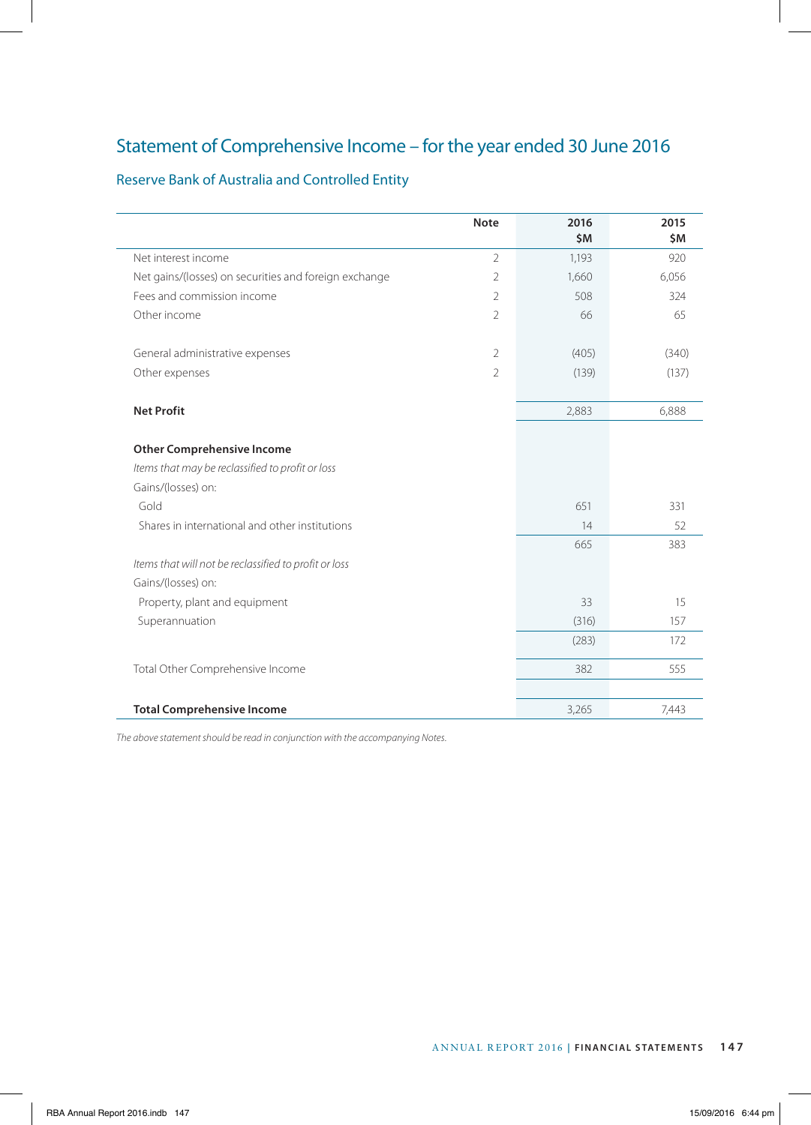# Statement of Comprehensive Income – for the year ended 30 June 2016

# Reserve Bank of Australia and Controlled Entity

|                                                       | <b>Note</b>    | 2016  | 2015  |
|-------------------------------------------------------|----------------|-------|-------|
|                                                       |                | \$M   | \$M   |
| Net interest income                                   | $\overline{2}$ | 1,193 | 920   |
| Net gains/(losses) on securities and foreign exchange | $\overline{2}$ | 1,660 | 6,056 |
| Fees and commission income                            | $\overline{2}$ | 508   | 324   |
| Other income                                          | $\overline{2}$ | 66    | 65    |
| General administrative expenses                       | $\overline{2}$ | (405) | (340) |
| Other expenses                                        | $\overline{2}$ | (139) | (137) |
| <b>Net Profit</b>                                     |                | 2,883 | 6,888 |
|                                                       |                |       |       |
| <b>Other Comprehensive Income</b>                     |                |       |       |
| Items that may be reclassified to profit or loss      |                |       |       |
| Gains/(losses) on:                                    |                |       |       |
| Gold                                                  |                | 651   | 331   |
| Shares in international and other institutions        |                | 14    | 52    |
|                                                       |                | 665   | 383   |
| Items that will not be reclassified to profit or loss |                |       |       |
| Gains/(losses) on:                                    |                |       |       |
| Property, plant and equipment                         |                | 33    | 15    |
| Superannuation                                        |                | (316) | 157   |
|                                                       |                | (283) | 172   |
| Total Other Comprehensive Income                      |                | 382   | 555   |
|                                                       |                |       |       |
| <b>Total Comprehensive Income</b>                     |                | 3,265 | 7,443 |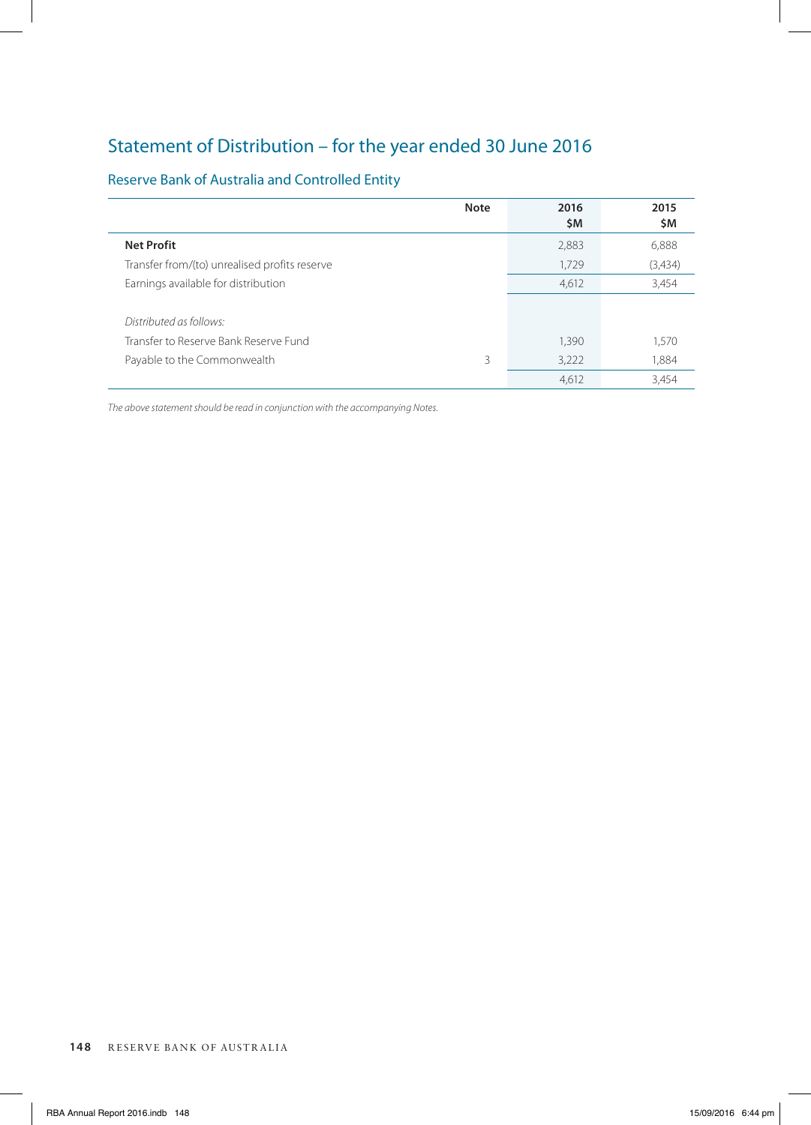# Statement of Distribution – for the year ended 30 June 2016

# Reserve Bank of Australia and Controlled Entity

|                                               | <b>Note</b> | 2016<br>\$M | 2015<br>\$M |
|-----------------------------------------------|-------------|-------------|-------------|
| <b>Net Profit</b>                             |             | 2,883       | 6,888       |
| Transfer from/(to) unrealised profits reserve |             | 1,729       | (3,434)     |
| Earnings available for distribution           |             | 4,612       | 3,454       |
|                                               |             |             |             |
| Distributed as follows:                       |             |             |             |
| Transfer to Reserve Bank Reserve Fund         |             | 1,390       | 1,570       |
| Payable to the Commonwealth                   | 3           | 3,222       | 1,884       |
|                                               |             | 4,612       | 3.454       |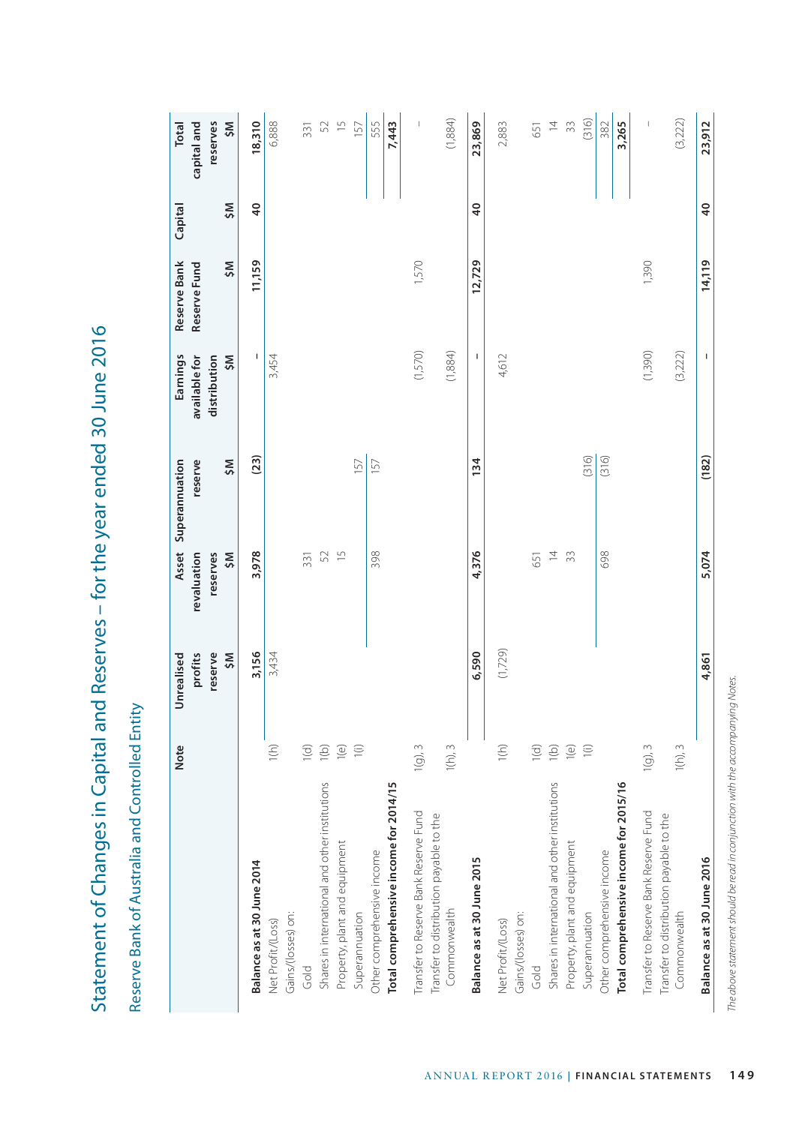|                                                         | Note                    | profits<br>reserve<br>ŠM<br>Unrealised | revaluation<br>reserves<br>ŠM | reserve<br>ŠM<br>Asset Superannuation | Earnings<br>ŠM<br>available for<br>distribution | Reserve Bank<br>Reserve Fund<br>ŠM | ŠM<br>Capital   | reserves<br>ŠM<br><b>Total</b><br>capital and                                                                                                                                                                                                                                                                                                                                    |
|---------------------------------------------------------|-------------------------|----------------------------------------|-------------------------------|---------------------------------------|-------------------------------------------------|------------------------------------|-----------------|----------------------------------------------------------------------------------------------------------------------------------------------------------------------------------------------------------------------------------------------------------------------------------------------------------------------------------------------------------------------------------|
| Balance as at 30 June 2014                              |                         | 3,156                                  | 3,978                         | (23)                                  | I                                               | 11,159                             | $\overline{a}$  | 18,310                                                                                                                                                                                                                                                                                                                                                                           |
| Net Profit/(Loss)                                       | $1(h)$                  | 3,434                                  |                               |                                       | 3,454                                           |                                    |                 | 6,888                                                                                                                                                                                                                                                                                                                                                                            |
| Gains/(losses) on:                                      |                         |                                        |                               |                                       |                                                 |                                    |                 |                                                                                                                                                                                                                                                                                                                                                                                  |
| Gold                                                    | 1(d)                    |                                        | 331                           |                                       |                                                 |                                    |                 | 331                                                                                                                                                                                                                                                                                                                                                                              |
| Shares in international and other institutions          | 1(b)                    |                                        | 52                            |                                       |                                                 |                                    |                 | 52                                                                                                                                                                                                                                                                                                                                                                               |
| Property, plant and equipment                           | 1(e)                    |                                        | $\overline{5}$                |                                       |                                                 |                                    |                 | $\overline{1}$                                                                                                                                                                                                                                                                                                                                                                   |
| Superannuation                                          | $\widehat{=}$           |                                        |                               | 157                                   |                                                 |                                    |                 | 157                                                                                                                                                                                                                                                                                                                                                                              |
| Other comprehensive income                              |                         |                                        | 398                           | 157                                   |                                                 |                                    |                 | 555                                                                                                                                                                                                                                                                                                                                                                              |
| Total comprehensive income for 2014/15                  |                         |                                        |                               |                                       |                                                 |                                    |                 | 7,443                                                                                                                                                                                                                                                                                                                                                                            |
| Transfer to Reserve Bank Reserve Fund                   | $1(g)$ , $3$            |                                        |                               |                                       | (1,570)                                         | 1,570                              |                 | $\overline{1}$                                                                                                                                                                                                                                                                                                                                                                   |
| Transfer to distribution payable to the<br>Commonwealth | $1(h)$ , $3$            |                                        |                               |                                       | (1,884)                                         |                                    |                 | (1,884)                                                                                                                                                                                                                                                                                                                                                                          |
| Balance as at 30 June 2015                              |                         | 6,590                                  | 4,376                         | 134                                   | I                                               | 12,729                             | $\overline{4}$  | 23,869                                                                                                                                                                                                                                                                                                                                                                           |
| Net Profit/(Loss)                                       | $1(h)$                  | (1,729)                                |                               |                                       | 4,612                                           |                                    |                 | 2,883                                                                                                                                                                                                                                                                                                                                                                            |
| Gains/(losses) on:<br>Gold                              | 1(d)                    |                                        | 651                           |                                       |                                                 |                                    |                 | 651                                                                                                                                                                                                                                                                                                                                                                              |
| Shares in international and other institutions          | $\left(\bigcirc\right)$ |                                        | $\overline{4}$                |                                       |                                                 |                                    |                 | $\overline{4}$                                                                                                                                                                                                                                                                                                                                                                   |
| Property, plant and equipment                           | $\left(\bigcirc\right)$ |                                        | 33                            |                                       |                                                 |                                    |                 | $\approx$                                                                                                                                                                                                                                                                                                                                                                        |
| Superannuation                                          | $\widehat{=}$           |                                        |                               | (316)                                 |                                                 |                                    |                 | (316)                                                                                                                                                                                                                                                                                                                                                                            |
| Other comprehensive income                              |                         |                                        | 698                           | (316)                                 |                                                 |                                    |                 | 382                                                                                                                                                                                                                                                                                                                                                                              |
| Total comprehensive income for 2015/16                  |                         |                                        |                               |                                       |                                                 |                                    |                 | 3,265                                                                                                                                                                                                                                                                                                                                                                            |
| Transfer to Reserve Bank Reserve Fund                   | $1(g)$ , $3$            |                                        |                               |                                       | (1,390)                                         | 1,390                              |                 | $\begin{array}{c} \rule{0pt}{2.5ex} \rule{0pt}{2.5ex} \rule{0pt}{2.5ex} \rule{0pt}{2.5ex} \rule{0pt}{2.5ex} \rule{0pt}{2.5ex} \rule{0pt}{2.5ex} \rule{0pt}{2.5ex} \rule{0pt}{2.5ex} \rule{0pt}{2.5ex} \rule{0pt}{2.5ex} \rule{0pt}{2.5ex} \rule{0pt}{2.5ex} \rule{0pt}{2.5ex} \rule{0pt}{2.5ex} \rule{0pt}{2.5ex} \rule{0pt}{2.5ex} \rule{0pt}{2.5ex} \rule{0pt}{2.5ex} \rule{0$ |
| Transfer to distribution payable to the<br>Commonwealth | $1(h)$ , $3$            |                                        |                               |                                       | (3,222)                                         |                                    |                 | (3,222)                                                                                                                                                                                                                                                                                                                                                                          |
| Balance as at 30 June 2016                              |                         | 4,861                                  | 5,074                         | (182)                                 | I                                               | 14,119                             | $\overline{40}$ | 23,912                                                                                                                                                                                                                                                                                                                                                                           |

Statement of Changes in Capital and Reserves - for the year ended 30 June 2016 Statement of Changes in Capital and Reserves – for the year ended 30 June 2016

Reserve Bank of Australia and Controlled Entity Reserve Bank of Australia and Controlled Entity

The above statement should be read in conjunction with the accompanying Notes. *The above statement should be read in conjunction with the accompanying Notes.*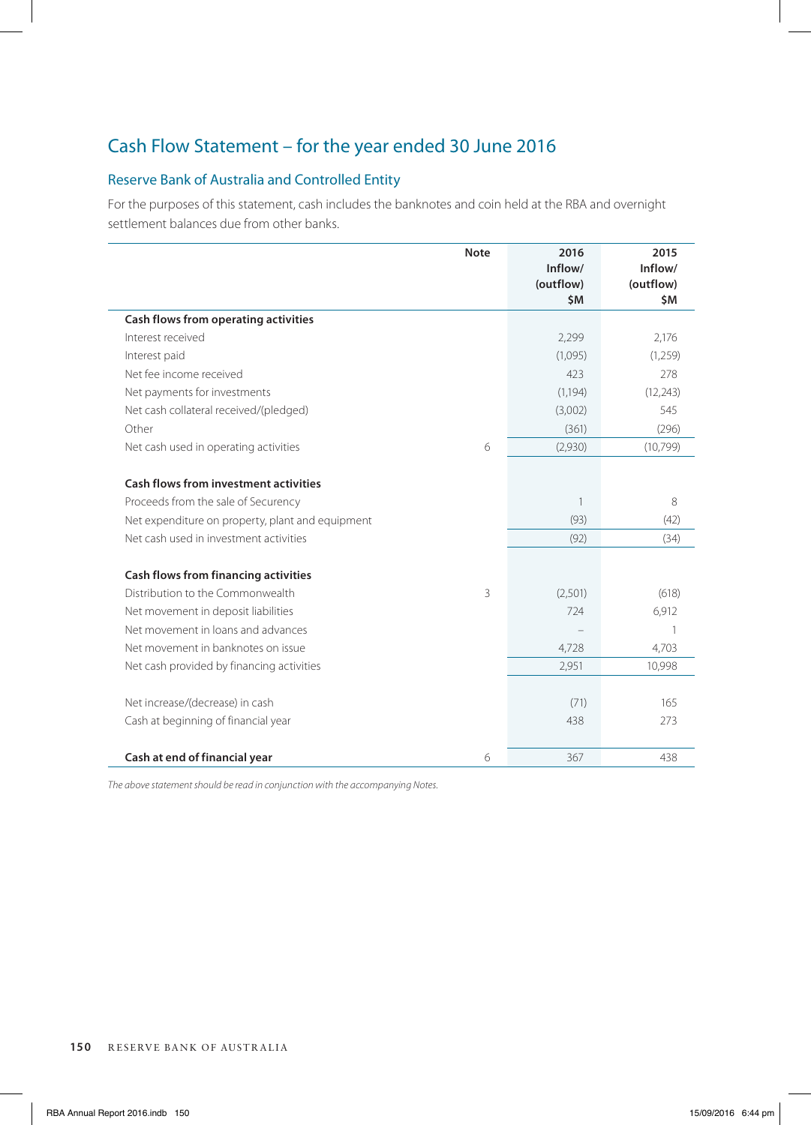# Cash Flow Statement – for the year ended 30 June 2016

# Reserve Bank of Australia and Controlled Entity

For the purposes of this statement, cash includes the banknotes and coin held at the RBA and overnight settlement balances due from other banks.

|                                                  | <b>Note</b> | 2016<br>Inflow/<br>(outflow)<br>\$M | 2015<br>Inflow/<br>(outflow)<br>\$M |
|--------------------------------------------------|-------------|-------------------------------------|-------------------------------------|
| Cash flows from operating activities             |             |                                     |                                     |
| Interest received                                |             | 2,299                               | 2,176                               |
| Interest paid                                    |             | (1,095)                             | (1,259)                             |
| Net fee income received                          |             | 423                                 | 278                                 |
| Net payments for investments                     |             | (1, 194)                            | (12, 243)                           |
| Net cash collateral received/(pledged)           |             | (3,002)                             | 545                                 |
| Other                                            |             | (361)                               | (296)                               |
| Net cash used in operating activities            | 6           | (2,930)                             | (10,799)                            |
| Cash flows from investment activities            |             |                                     |                                     |
| Proceeds from the sale of Securency              |             | 1                                   | 8                                   |
| Net expenditure on property, plant and equipment |             | (93)                                | (42)                                |
| Net cash used in investment activities           |             | (92)                                | (34)                                |
| Cash flows from financing activities             |             |                                     |                                     |
| Distribution to the Commonwealth                 | 3           | (2,501)                             | (618)                               |
| Net movement in deposit liabilities              |             | 724                                 | 6,912                               |
| Net movement in loans and advances               |             |                                     |                                     |
| Net movement in banknotes on issue               |             | 4,728                               | 4,703                               |
| Net cash provided by financing activities        |             | 2,951                               | 10,998                              |
| Net increase/(decrease) in cash                  |             | (71)                                | 165                                 |
| Cash at beginning of financial year              |             | 438                                 | 273                                 |
| Cash at end of financial year                    | 6           | 367                                 | 438                                 |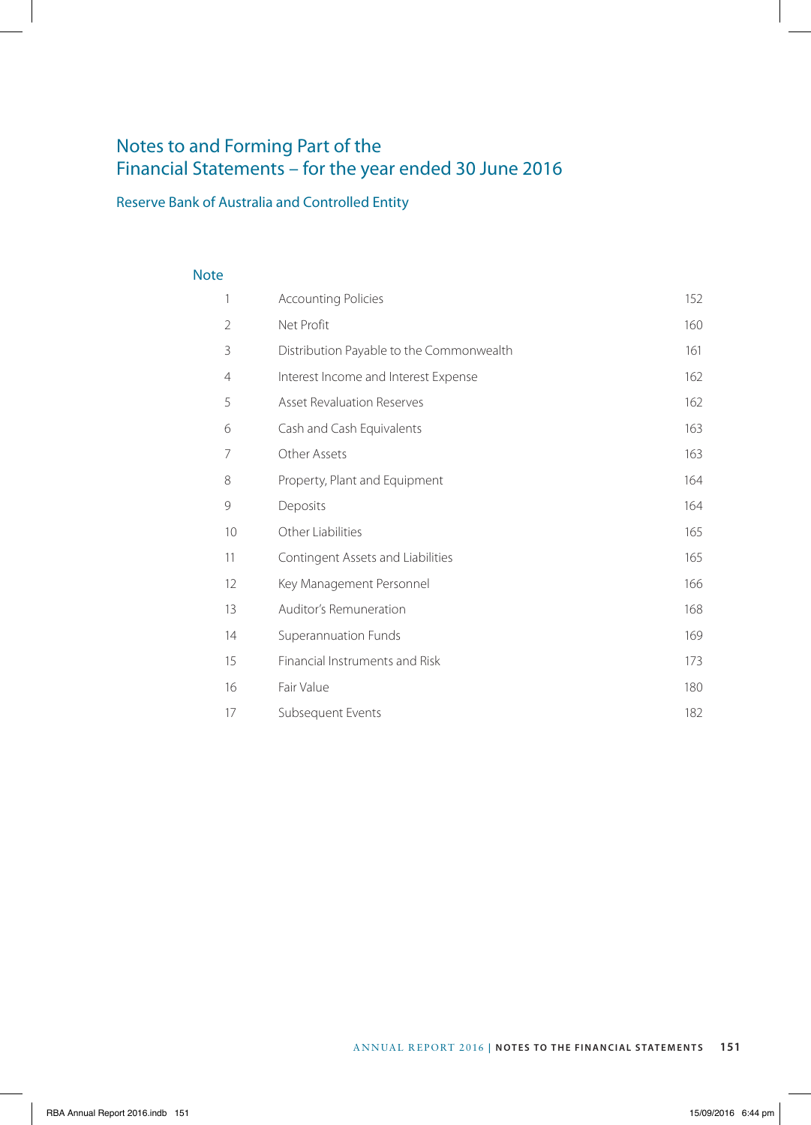# Notes to and Forming Part of the Financial Statements – for the year ended 30 June 2016

# Reserve Bank of Australia and Controlled Entity

# Note

| 1              | <b>Accounting Policies</b>               | 152 |
|----------------|------------------------------------------|-----|
| $\overline{2}$ | Net Profit                               | 160 |
| 3              | Distribution Payable to the Commonwealth | 161 |
| 4              | Interest Income and Interest Expense     | 162 |
| 5              | <b>Asset Revaluation Reserves</b>        | 162 |
| 6              | Cash and Cash Equivalents                | 163 |
| 7              | Other Assets                             | 163 |
| 8              | Property, Plant and Equipment            | 164 |
| 9              | Deposits                                 | 164 |
| 10             | Other Liabilities                        | 165 |
| 11             | Contingent Assets and Liabilities        | 165 |
| 12             | Key Management Personnel                 | 166 |
| 13             | Auditor's Remuneration                   | 168 |
| 14             | Superannuation Funds                     | 169 |
| 15             | Financial Instruments and Risk           | 173 |
| 16             | Fair Value                               | 180 |
| 17             | Subsequent Events                        | 182 |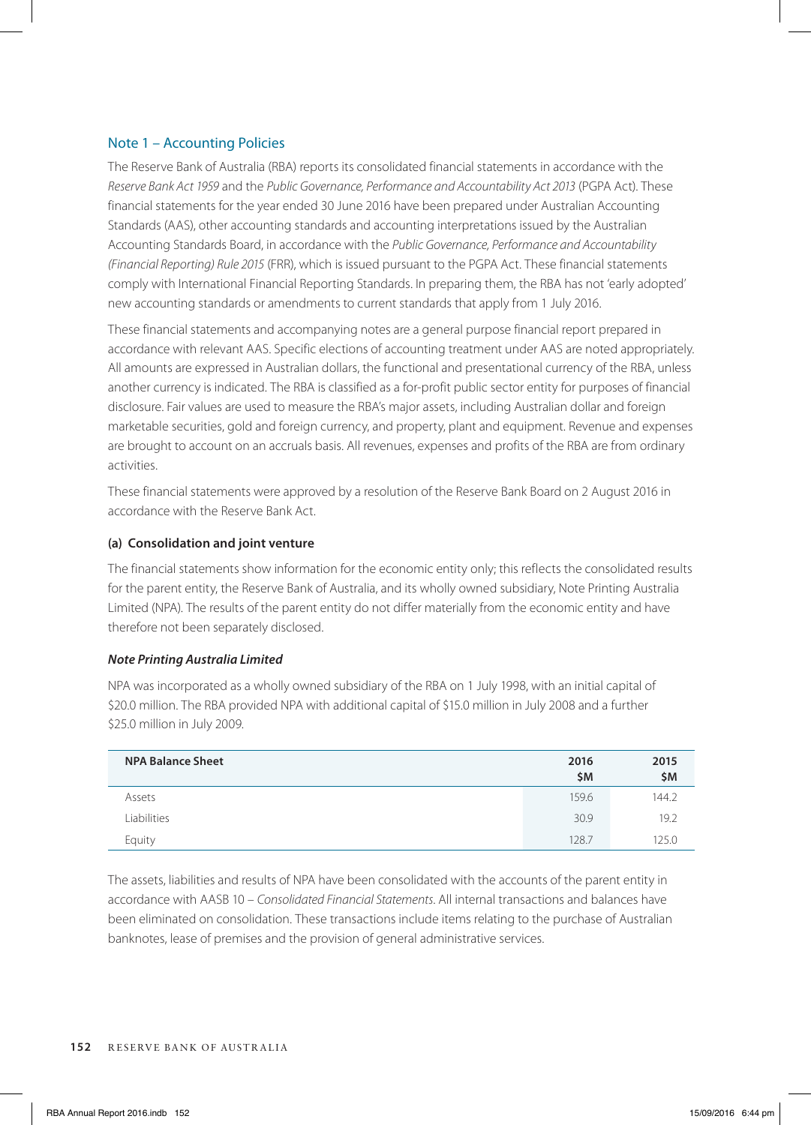# Note 1 – Accounting Policies

The Reserve Bank of Australia (RBA) reports its consolidated financial statements in accordance with the *Reserve Bank Act 1959* and the *Public Governance, Performance and Accountability Act 2013* (PGPA Act). These financial statements for the year ended 30 June 2016 have been prepared under Australian Accounting Standards (AAS), other accounting standards and accounting interpretations issued by the Australian Accounting Standards Board, in accordance with the *Public Governance, Performance and Accountability (Financial Reporting) Rule 2015* (FRR), which is issued pursuant to the PGPA Act. These financial statements comply with International Financial Reporting Standards. In preparing them, the RBA has not 'early adopted' new accounting standards or amendments to current standards that apply from 1 July 2016.

These financial statements and accompanying notes are a general purpose financial report prepared in accordance with relevant AAS. Specific elections of accounting treatment under AAS are noted appropriately. All amounts are expressed in Australian dollars, the functional and presentational currency of the RBA, unless another currency is indicated. The RBA is classified as a for-profit public sector entity for purposes of financial disclosure. Fair values are used to measure the RBA's major assets, including Australian dollar and foreign marketable securities, gold and foreign currency, and property, plant and equipment. Revenue and expenses are brought to account on an accruals basis. All revenues, expenses and profits of the RBA are from ordinary activities.

These financial statements were approved by a resolution of the Reserve Bank Board on 2 August 2016 in accordance with the Reserve Bank Act.

# **(a) Consolidation and joint venture**

The financial statements show information for the economic entity only; this reflects the consolidated results for the parent entity, the Reserve Bank of Australia, and its wholly owned subsidiary, Note Printing Australia Limited (NPA). The results of the parent entity do not differ materially from the economic entity and have therefore not been separately disclosed.

# *Note Printing Australia Limited*

NPA was incorporated as a wholly owned subsidiary of the RBA on 1 July 1998, with an initial capital of \$20.0 million. The RBA provided NPA with additional capital of \$15.0 million in July 2008 and a further \$25.0 million in July 2009.

| <b>NPA Balance Sheet</b> | 2016<br>\$M | 2015<br>\$M |
|--------------------------|-------------|-------------|
| Assets                   | 159.6       | 144.2       |
| Liabilities              | 30.9        | 19.2        |
| Equity                   | 128.7       | 125.0       |

The assets, liabilities and results of NPA have been consolidated with the accounts of the parent entity in accordance with AASB 10 – *Consolidated Financial Statements*. All internal transactions and balances have been eliminated on consolidation. These transactions include items relating to the purchase of Australian banknotes, lease of premises and the provision of general administrative services.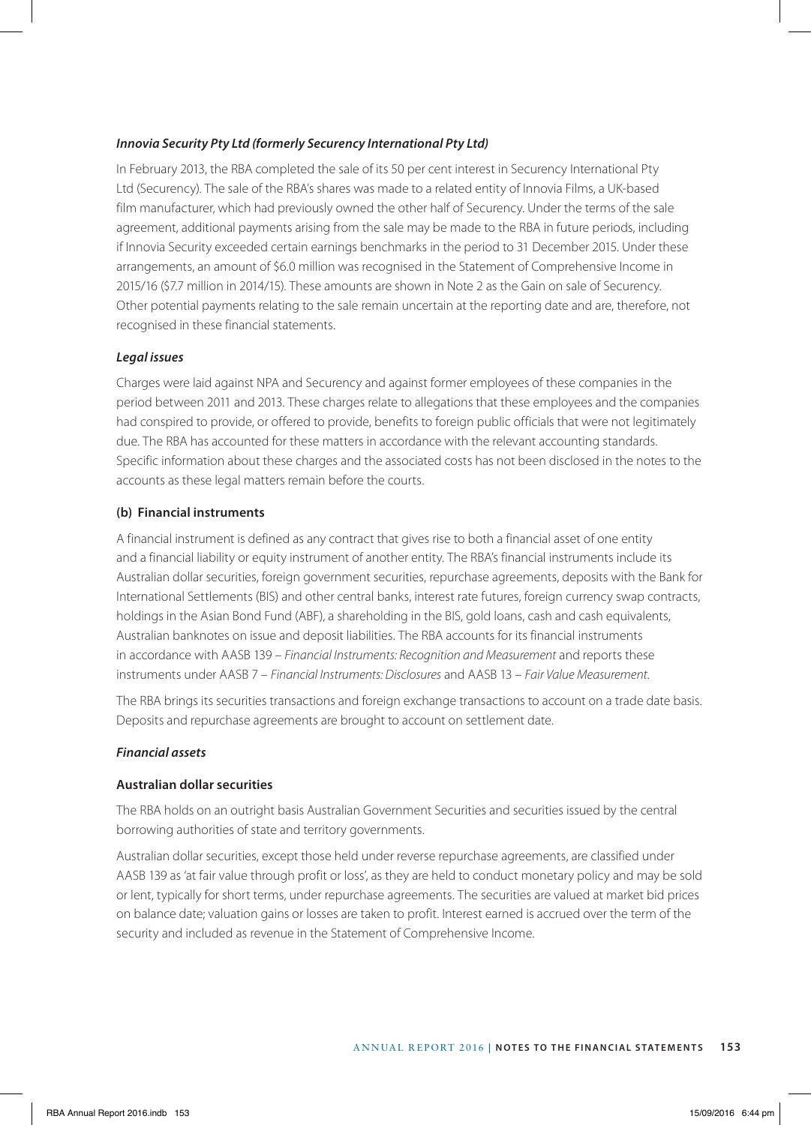# *Innovia Security Pty Ltd (formerly Securency International Pty Ltd)*

In February 2013, the RBA completed the sale of its 50 per cent interest in Securency International Pty Ltd (Securency). The sale of the RBA's shares was made to a related entity of Innovia Films, a UK-based film manufacturer, which had previously owned the other half of Securency. Under the terms of the sale agreement, additional payments arising from the sale may be made to the RBA in future periods, including if Innovia Security exceeded certain earnings benchmarks in the period to 31 December 2015. Under these arrangements, an amount of \$6.0 million was recognised in the Statement of Comprehensive Income in 2015/16 (\$7.7 million in 2014/15). These amounts are shown in Note 2 as the Gain on sale of Securency. Other potential payments relating to the sale remain uncertain at the reporting date and are, therefore, not recognised in these financial statements.

# *Legal issues*

Charges were laid against NPA and Securency and against former employees of these companies in the period between 2011 and 2013. These charges relate to allegations that these employees and the companies had conspired to provide, or offered to provide, benefits to foreign public officials that were not legitimately due. The RBA has accounted for these matters in accordance with the relevant accounting standards. Specific information about these charges and the associated costs has not been disclosed in the notes to the accounts as these legal matters remain before the courts.

# **(b) Financial instruments**

A financial instrument is defined as any contract that gives rise to both a financial asset of one entity and a financial liability or equity instrument of another entity. The RBA's financial instruments include its Australian dollar securities, foreign government securities, repurchase agreements, deposits with the Bank for International Settlements (BIS) and other central banks, interest rate futures, foreign currency swap contracts, holdings in the Asian Bond Fund (ABF), a shareholding in the BIS, gold loans, cash and cash equivalents, Australian banknotes on issue and deposit liabilities. The RBA accounts for its financial instruments in accordance with AASB 139 – *Financial Instruments: Recognition and Measurement* and reports these instruments under AASB 7 – *Financial Instruments: Disclosures* and AASB 13 – *Fair Value Measurement*.

The RBA brings its securities transactions and foreign exchange transactions to account on a trade date basis. Deposits and repurchase agreements are brought to account on settlement date.

# *Financial assets*

# **Australian dollar securities**

The RBA holds on an outright basis Australian Government Securities and securities issued by the central borrowing authorities of state and territory governments.

Australian dollar securities, except those held under reverse repurchase agreements, are classified under AASB 139 as 'at fair value through profit or loss', as they are held to conduct monetary policy and may be sold or lent, typically for short terms, under repurchase agreements. The securities are valued at market bid prices on balance date; valuation gains or losses are taken to profit. Interest earned is accrued over the term of the security and included as revenue in the Statement of Comprehensive Income.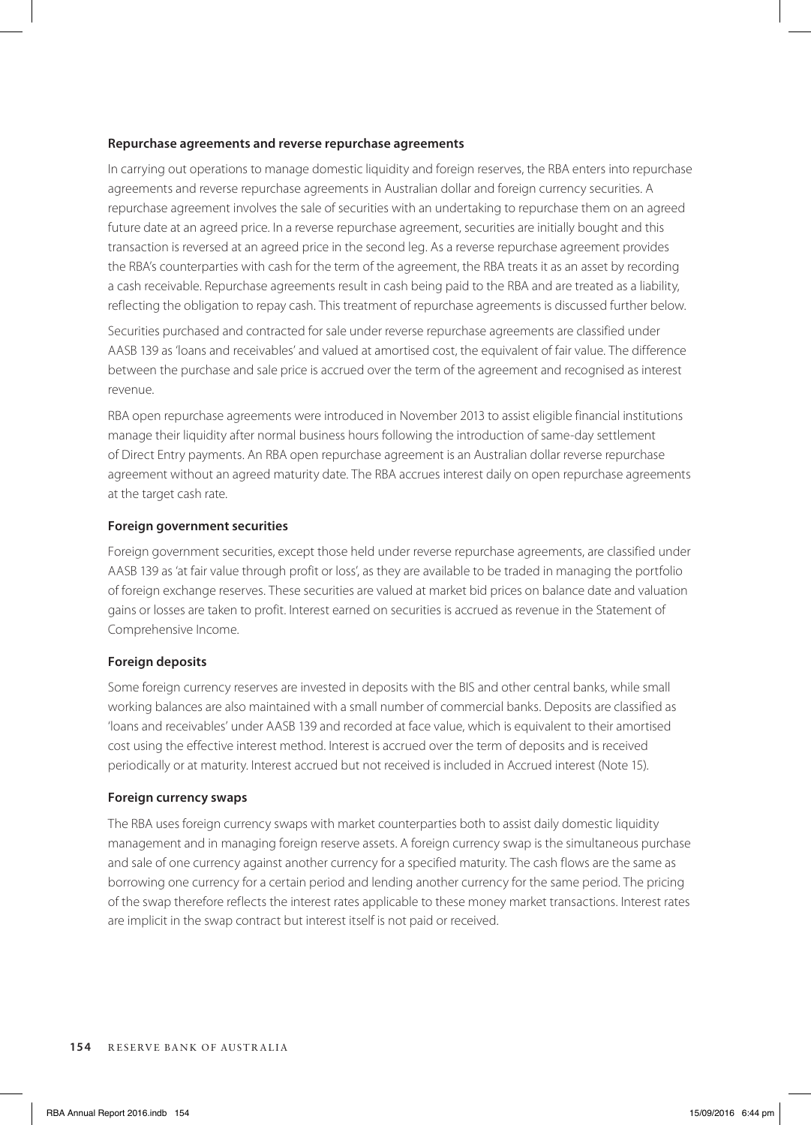#### **Repurchase agreements and reverse repurchase agreements**

In carrying out operations to manage domestic liquidity and foreign reserves, the RBA enters into repurchase agreements and reverse repurchase agreements in Australian dollar and foreign currency securities. A repurchase agreement involves the sale of securities with an undertaking to repurchase them on an agreed future date at an agreed price. In a reverse repurchase agreement, securities are initially bought and this transaction is reversed at an agreed price in the second leg. As a reverse repurchase agreement provides the RBA's counterparties with cash for the term of the agreement, the RBA treats it as an asset by recording a cash receivable. Repurchase agreements result in cash being paid to the RBA and are treated as a liability, reflecting the obligation to repay cash. This treatment of repurchase agreements is discussed further below.

Securities purchased and contracted for sale under reverse repurchase agreements are classified under AASB 139 as 'loans and receivables' and valued at amortised cost, the equivalent of fair value. The difference between the purchase and sale price is accrued over the term of the agreement and recognised as interest revenue.

RBA open repurchase agreements were introduced in November 2013 to assist eligible financial institutions manage their liquidity after normal business hours following the introduction of same-day settlement of Direct Entry payments. An RBA open repurchase agreement is an Australian dollar reverse repurchase agreement without an agreed maturity date. The RBA accrues interest daily on open repurchase agreements at the target cash rate.

# **Foreign government securities**

Foreign government securities, except those held under reverse repurchase agreements, are classified under AASB 139 as 'at fair value through profit or loss', as they are available to be traded in managing the portfolio of foreign exchange reserves. These securities are valued at market bid prices on balance date and valuation gains or losses are taken to profit. Interest earned on securities is accrued as revenue in the Statement of Comprehensive Income.

# **Foreign deposits**

Some foreign currency reserves are invested in deposits with the BIS and other central banks, while small working balances are also maintained with a small number of commercial banks. Deposits are classified as 'loans and receivables' under AASB 139 and recorded at face value, which is equivalent to their amortised cost using the effective interest method. Interest is accrued over the term of deposits and is received periodically or at maturity. Interest accrued but not received is included in Accrued interest (Note 15).

#### **Foreign currency swaps**

The RBA uses foreign currency swaps with market counterparties both to assist daily domestic liquidity management and in managing foreign reserve assets. A foreign currency swap is the simultaneous purchase and sale of one currency against another currency for a specified maturity. The cash flows are the same as borrowing one currency for a certain period and lending another currency for the same period. The pricing of the swap therefore reflects the interest rates applicable to these money market transactions. Interest rates are implicit in the swap contract but interest itself is not paid or received.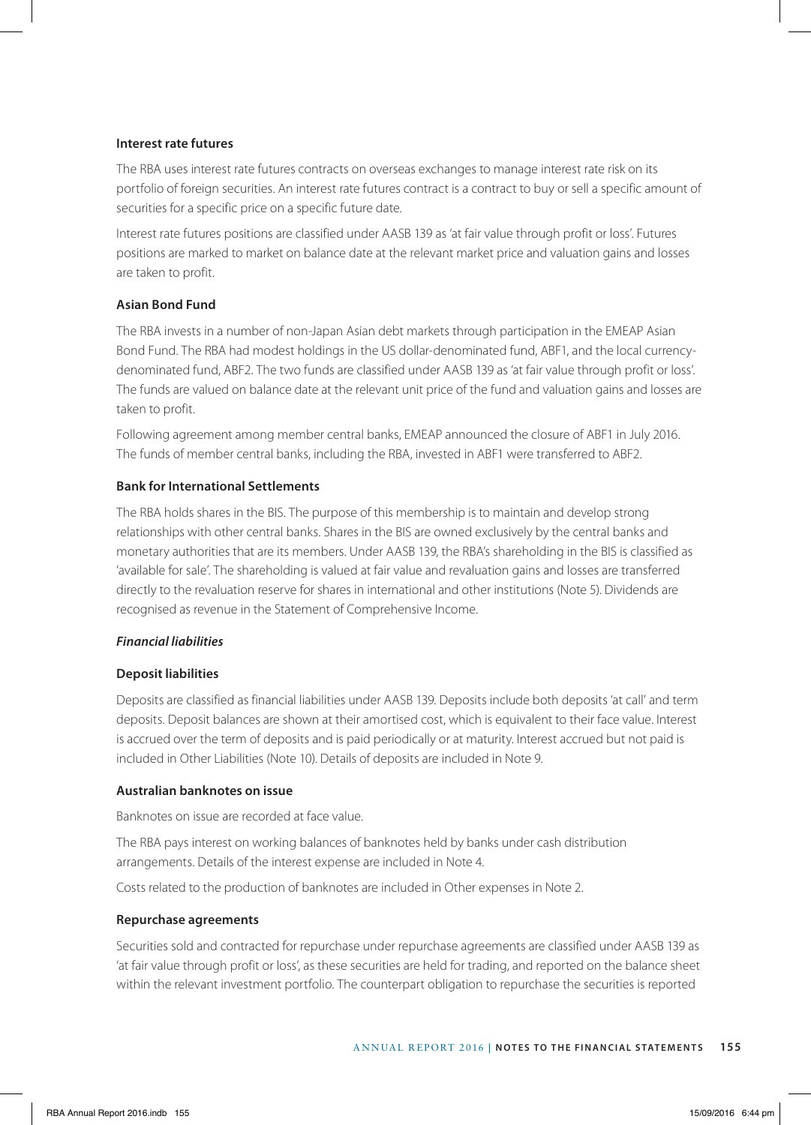# **Interest rate futures**

The RBA uses interest rate futures contracts on overseas exchanges to manage interest rate risk on its portfolio of foreign securities. An interest rate futures contract is a contract to buy or sell a specific amount of securities for a specific price on a specific future date.

Interest rate futures positions are classified under AASB 139 as 'at fair value through profit or loss'. Futures positions are marked to market on balance date at the relevant market price and valuation gains and losses are taken to profit.

# **Asian Bond Fund**

The RBA invests in a number of non-Japan Asian debt markets through participation in the EMEAP Asian Bond Fund. The RBA had modest holdings in the US dollar-denominated fund, ABF1, and the local currencydenominated fund, ABF2. The two funds are classified under AASB 139 as 'at fair value through profit or loss'. The funds are valued on balance date at the relevant unit price of the fund and valuation gains and losses are taken to profit.

Following agreement among member central banks, EMEAP announced the closure of ABF1 in July 2016. The funds of member central banks, including the RBA, invested in ABF1 were transferred to ABF2.

# **Bank for International Settlements**

The RBA holds shares in the BIS. The purpose of this membership is to maintain and develop strong relationships with other central banks. Shares in the BIS are owned exclusively by the central banks and monetary authorities that are its members. Under AASB 139, the RBA's shareholding in the BIS is classified as 'available for sale'. The shareholding is valued at fair value and revaluation gains and losses are transferred directly to the revaluation reserve for shares in international and other institutions (Note 5). Dividends are recognised as revenue in the Statement of Comprehensive Income.

#### *Financial liabilities*

#### **Deposit liabilities**

Deposits are classified as financial liabilities under AASB 139. Deposits include both deposits 'at call' and term deposits. Deposit balances are shown at their amortised cost, which is equivalent to their face value. Interest is accrued over the term of deposits and is paid periodically or at maturity. Interest accrued but not paid is included in Other Liabilities (Note 10). Details of deposits are included in Note 9.

# **Australian banknotes on issue**

Banknotes on issue are recorded at face value.

The RBA pays interest on working balances of banknotes held by banks under cash distribution arrangements. Details of the interest expense are included in Note 4.

Costs related to the production of banknotes are included in Other expenses in Note 2.

# **Repurchase agreements**

Securities sold and contracted for repurchase under repurchase agreements are classified under AASB 139 as 'at fair value through profit or loss', as these securities are held for trading, and reported on the balance sheet within the relevant investment portfolio. The counterpart obligation to repurchase the securities is reported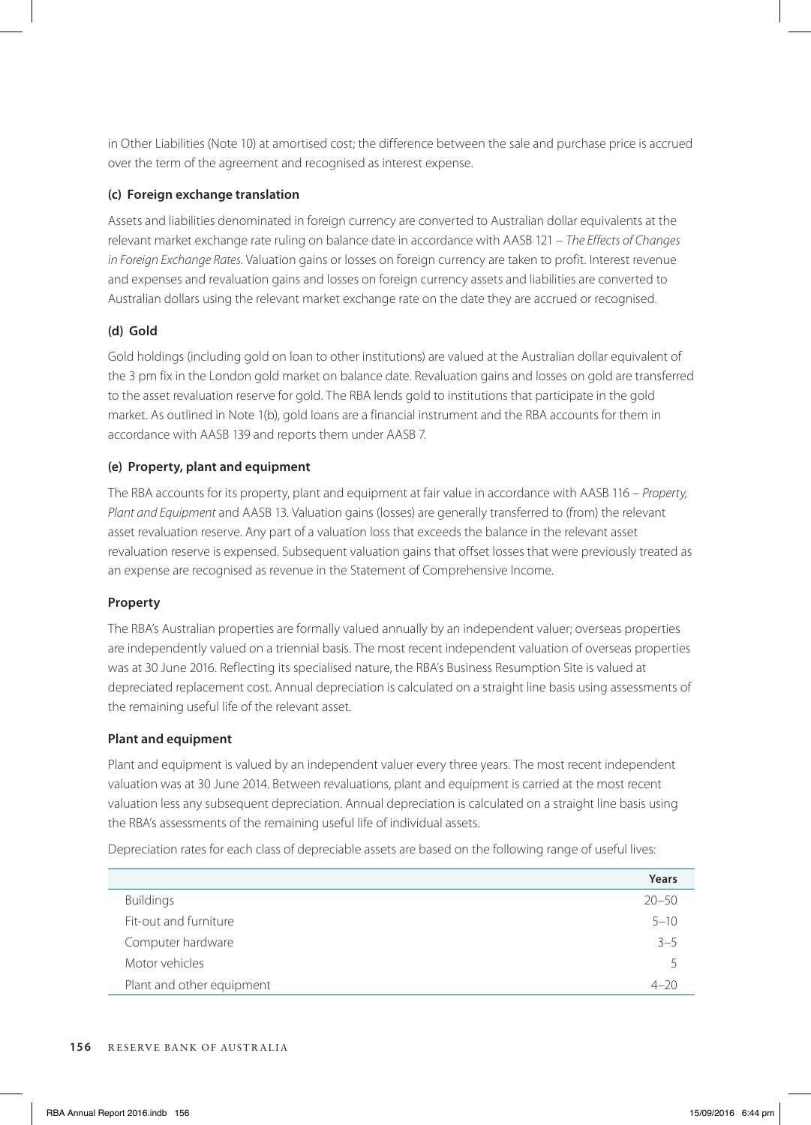in Other Liabilities (Note 10) at amortised cost; the difference between the sale and purchase price is accrued over the term of the agreement and recognised as interest expense.

# **(c) Foreign exchange translation**

Assets and liabilities denominated in foreign currency are converted to Australian dollar equivalents at the relevant market exchange rate ruling on balance date in accordance with AASB 121 – *The Effects of Changes in Foreign Exchange Rates*. Valuation gains or losses on foreign currency are taken to profit. Interest revenue and expenses and revaluation gains and losses on foreign currency assets and liabilities are converted to Australian dollars using the relevant market exchange rate on the date they are accrued or recognised.

# **(d) Gold**

Gold holdings (including gold on loan to other institutions) are valued at the Australian dollar equivalent of the 3 pm fix in the London gold market on balance date. Revaluation gains and losses on gold are transferred to the asset revaluation reserve for gold. The RBA lends gold to institutions that participate in the gold market. As outlined in Note 1(b), gold loans are a financial instrument and the RBA accounts for them in accordance with AASB 139 and reports them under AASB 7.

# **(e) Property, plant and equipment**

The RBA accounts for its property, plant and equipment at fair value in accordance with AASB 116 – *Property, Plant and Equipment* and AASB 13. Valuation gains (losses) are generally transferred to (from) the relevant asset revaluation reserve. Any part of a valuation loss that exceeds the balance in the relevant asset revaluation reserve is expensed. Subsequent valuation gains that offset losses that were previously treated as an expense are recognised as revenue in the Statement of Comprehensive Income.

# **Property**

The RBA's Australian properties are formally valued annually by an independent valuer; overseas properties are independently valued on a triennial basis. The most recent independent valuation of overseas properties was at 30 June 2016. Reflecting its specialised nature, the RBA's Business Resumption Site is valued at depreciated replacement cost. Annual depreciation is calculated on a straight line basis using assessments of the remaining useful life of the relevant asset.

# **Plant and equipment**

Plant and equipment is valued by an independent valuer every three years. The most recent independent valuation was at 30 June 2014. Between revaluations, plant and equipment is carried at the most recent valuation less any subsequent depreciation. Annual depreciation is calculated on a straight line basis using the RBA's assessments of the remaining useful life of individual assets.

Depreciation rates for each class of depreciable assets are based on the following range of useful lives:

|                           | Years                    |
|---------------------------|--------------------------|
| <b>Buildings</b>          | $20 - 50$                |
| Fit-out and furniture     | $5 - 10$                 |
| Computer hardware         | $3 - 5$                  |
| Motor vehicles            | $\overline{\phantom{a}}$ |
| Plant and other equipment | $4 - 20$                 |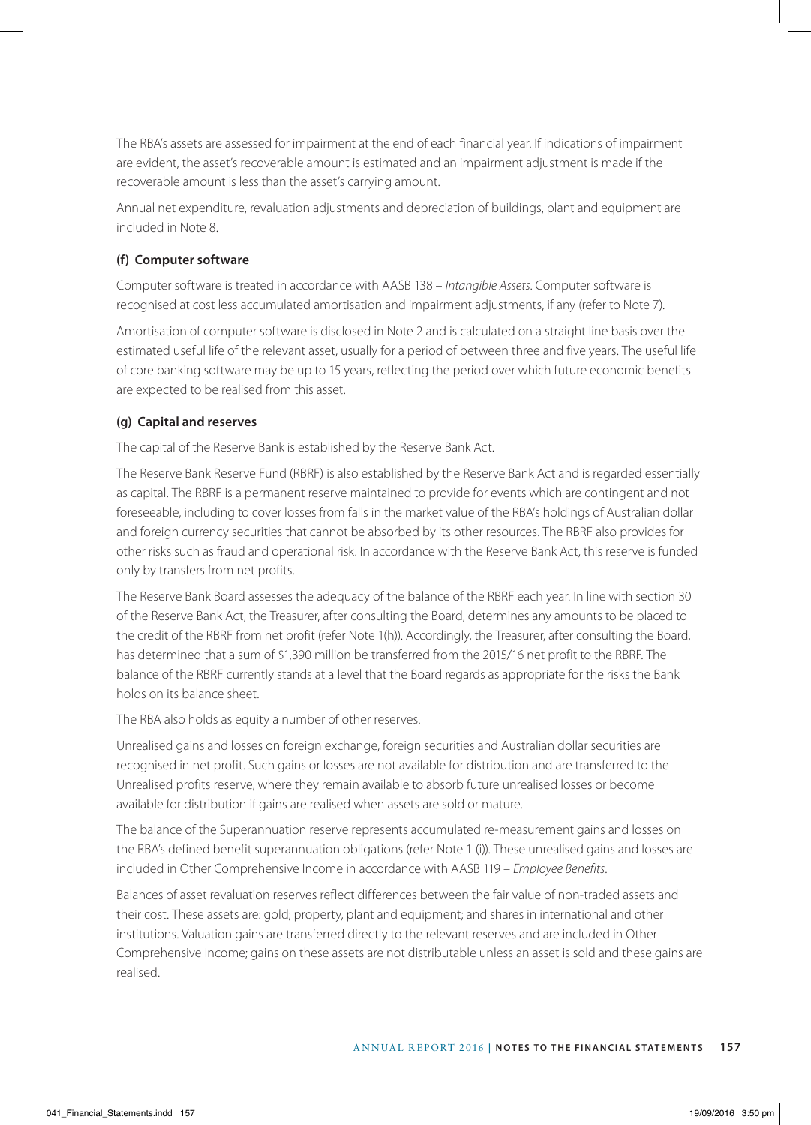The RBA's assets are assessed for impairment at the end of each financial year. If indications of impairment are evident, the asset's recoverable amount is estimated and an impairment adjustment is made if the recoverable amount is less than the asset's carrying amount.

Annual net expenditure, revaluation adjustments and depreciation of buildings, plant and equipment are included in Note 8.

# **(f) Computer software**

Computer software is treated in accordance with AASB 138 – *Intangible Assets*. Computer software is recognised at cost less accumulated amortisation and impairment adjustments, if any (refer to Note 7).

Amortisation of computer software is disclosed in Note 2 and is calculated on a straight line basis over the estimated useful life of the relevant asset, usually for a period of between three and five years. The useful life of core banking software may be up to 15 years, reflecting the period over which future economic benefits are expected to be realised from this asset.

# **(g) Capital and reserves**

The capital of the Reserve Bank is established by the Reserve Bank Act.

The Reserve Bank Reserve Fund (RBRF) is also established by the Reserve Bank Act and is regarded essentially as capital. The RBRF is a permanent reserve maintained to provide for events which are contingent and not foreseeable, including to cover losses from falls in the market value of the RBA's holdings of Australian dollar and foreign currency securities that cannot be absorbed by its other resources. The RBRF also provides for other risks such as fraud and operational risk. In accordance with the Reserve Bank Act, this reserve is funded only by transfers from net profits.

The Reserve Bank Board assesses the adequacy of the balance of the RBRF each year. In line with section 30 of the Reserve Bank Act, the Treasurer, after consulting the Board, determines any amounts to be placed to the credit of the RBRF from net profit (refer Note 1(h)). Accordingly, the Treasurer, after consulting the Board, has determined that a sum of \$1,390 million be transferred from the 2015/16 net profit to the RBRF. The balance of the RBRF currently stands at a level that the Board regards as appropriate for the risks the Bank holds on its balance sheet.

The RBA also holds as equity a number of other reserves.

Unrealised gains and losses on foreign exchange, foreign securities and Australian dollar securities are recognised in net profit. Such gains or losses are not available for distribution and are transferred to the Unrealised profits reserve, where they remain available to absorb future unrealised losses or become available for distribution if gains are realised when assets are sold or mature.

The balance of the Superannuation reserve represents accumulated re-measurement gains and losses on the RBA's defined benefit superannuation obligations (refer Note 1 (i)). These unrealised gains and losses are included in Other Comprehensive Income in accordance with AASB 119 – *Employee Benefits*.

Balances of asset revaluation reserves reflect differences between the fair value of non-traded assets and their cost. These assets are: gold; property, plant and equipment; and shares in international and other institutions. Valuation gains are transferred directly to the relevant reserves and are included in Other Comprehensive Income; gains on these assets are not distributable unless an asset is sold and these gains are realised.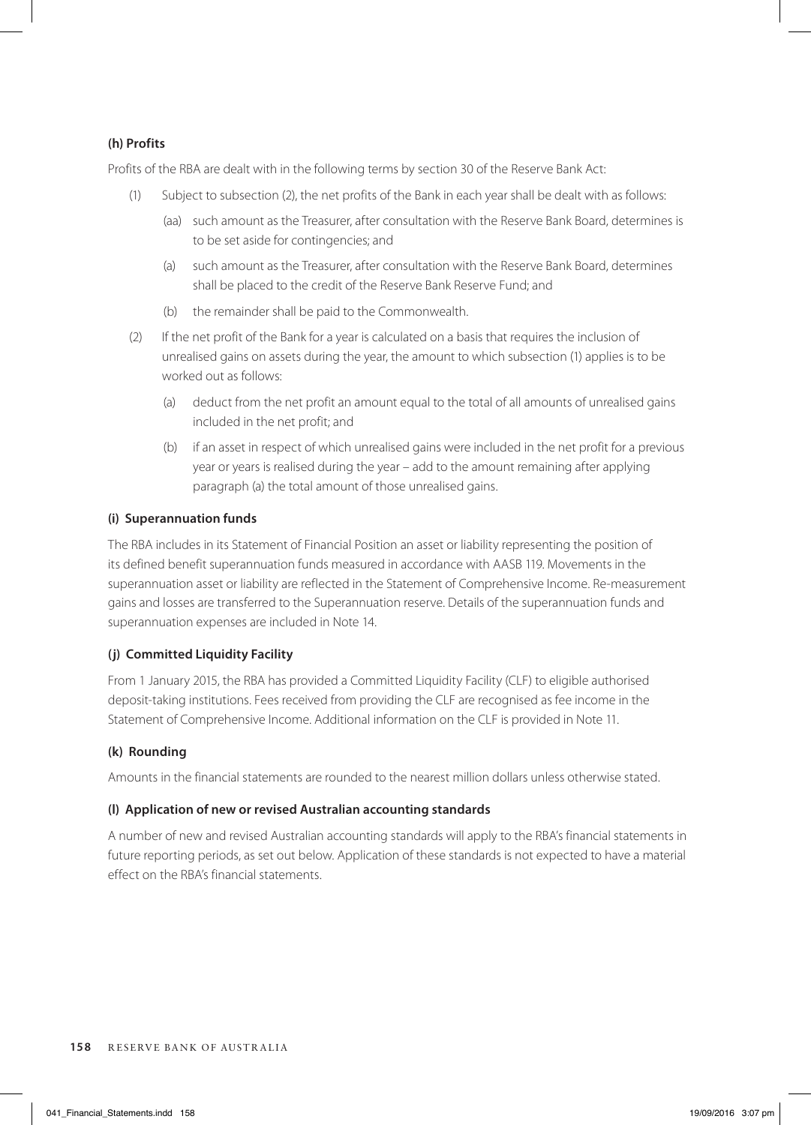# **(h) Profits**

Profits of the RBA are dealt with in the following terms by section 30 of the Reserve Bank Act:

- (1) Subject to subsection (2), the net profits of the Bank in each year shall be dealt with as follows:
	- (aa) such amount as the Treasurer, after consultation with the Reserve Bank Board, determines is to be set aside for contingencies; and
	- (a) such amount as the Treasurer, after consultation with the Reserve Bank Board, determines shall be placed to the credit of the Reserve Bank Reserve Fund; and
	- (b) the remainder shall be paid to the Commonwealth.
- (2) If the net profit of the Bank for a year is calculated on a basis that requires the inclusion of unrealised gains on assets during the year, the amount to which subsection (1) applies is to be worked out as follows:
	- (a) deduct from the net profit an amount equal to the total of all amounts of unrealised gains included in the net profit; and
	- (b) if an asset in respect of which unrealised gains were included in the net profit for a previous year or years is realised during the year – add to the amount remaining after applying paragraph (a) the total amount of those unrealised gains.

# **(i) Superannuation funds**

The RBA includes in its Statement of Financial Position an asset or liability representing the position of its defined benefit superannuation funds measured in accordance with AASB 119. Movements in the superannuation asset or liability are reflected in the Statement of Comprehensive Income. Re-measurement gains and losses are transferred to the Superannuation reserve. Details of the superannuation funds and superannuation expenses are included in Note 14.

# **(j) Committed Liquidity Facility**

From 1 January 2015, the RBA has provided a Committed Liquidity Facility (CLF) to eligible authorised deposit-taking institutions. Fees received from providing the CLF are recognised as fee income in the Statement of Comprehensive Income. Additional information on the CLF is provided in Note 11.

# **(k) Rounding**

Amounts in the financial statements are rounded to the nearest million dollars unless otherwise stated.

# **(l) Application of new or revised Australian accounting standards**

A number of new and revised Australian accounting standards will apply to the RBA's financial statements in future reporting periods, as set out below. Application of these standards is not expected to have a material effect on the RBA's financial statements.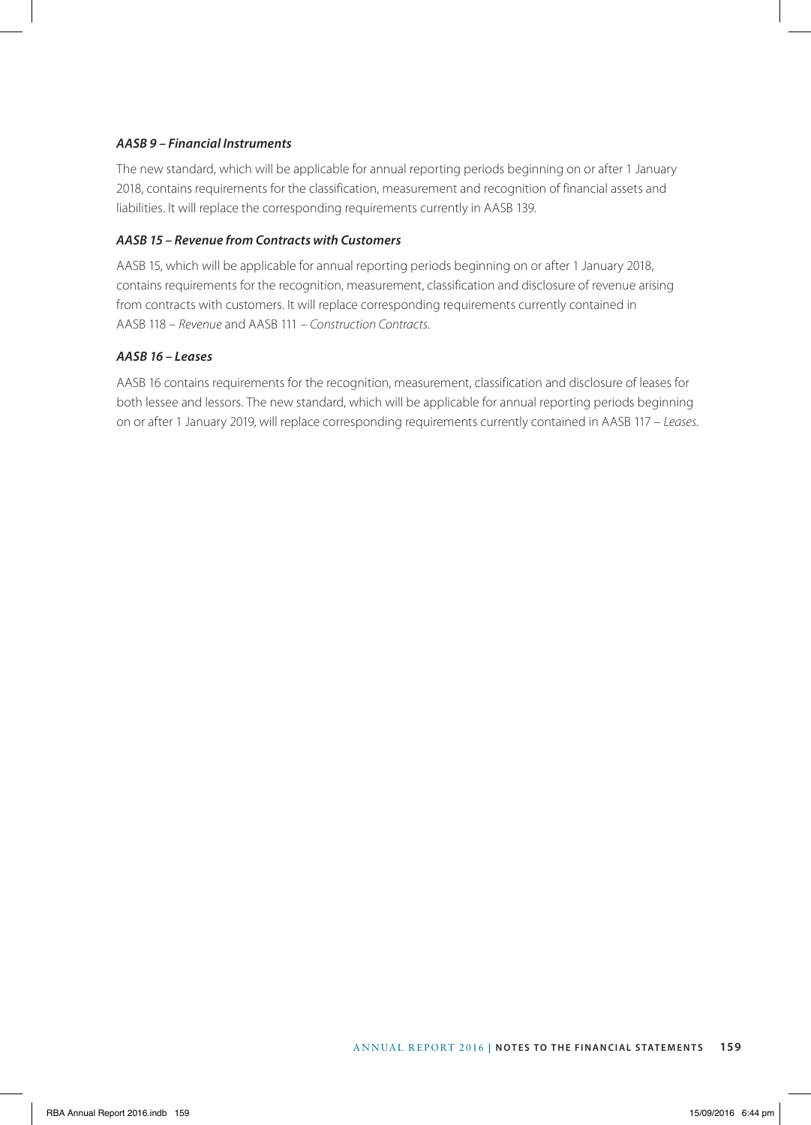# *AASB 9 – Financial Instruments*

The new standard, which will be applicable for annual reporting periods beginning on or after 1 January 2018, contains requirements for the classification, measurement and recognition of financial assets and liabilities. It will replace the corresponding requirements currently in AASB 139.

# *AASB 15 – Revenue from Contracts with Customers*

AASB 15, which will be applicable for annual reporting periods beginning on or after 1 January 2018, contains requirements for the recognition, measurement, classification and disclosure of revenue arising from contracts with customers. It will replace corresponding requirements currently contained in AASB 118 – *Revenue* and AASB 111 – *Construction Contracts*.

# *AASB 16 – Leases*

AASB 16 contains requirements for the recognition, measurement, classification and disclosure of leases for both lessee and lessors. The new standard, which will be applicable for annual reporting periods beginning on or after 1 January 2019, will replace corresponding requirements currently contained in AASB 117 – *Leases*.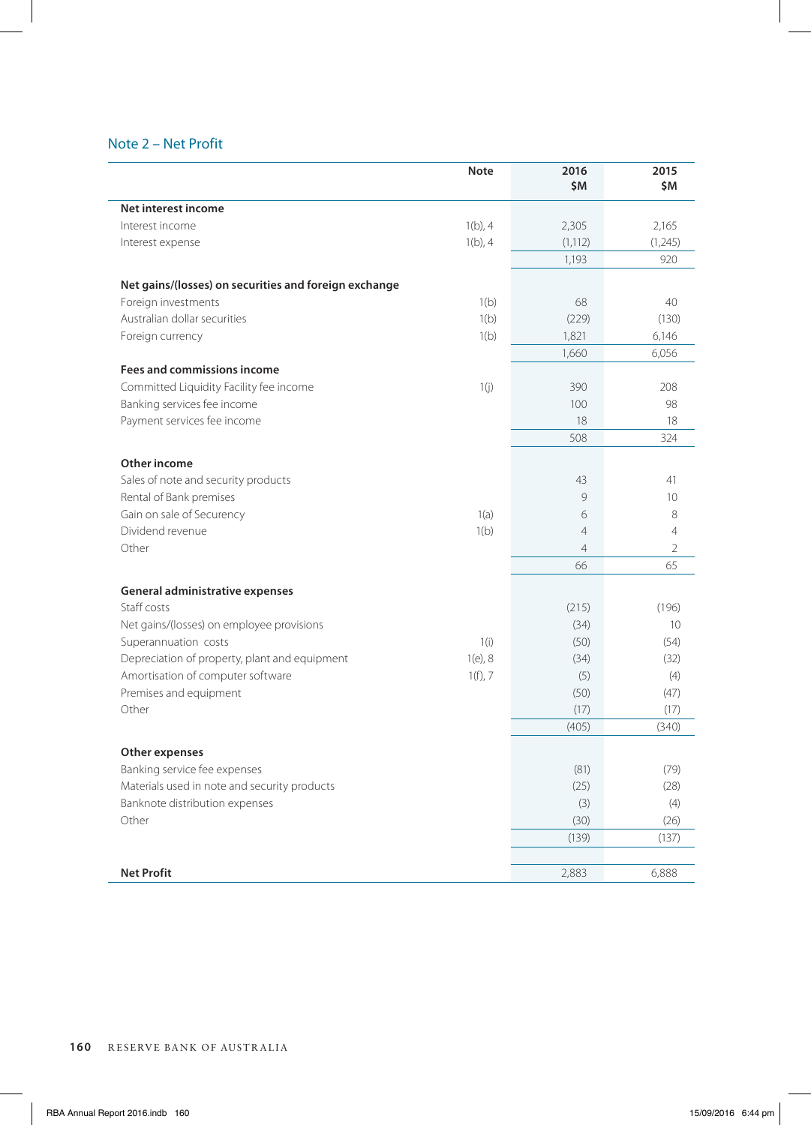# Note 2 – Net Profit

|                                                       | <b>Note</b> | 2016<br>\$M    | 2015<br>\$Μ              |
|-------------------------------------------------------|-------------|----------------|--------------------------|
| Net interest income                                   |             |                |                          |
| Interest income                                       | $1(b)$ , 4  | 2,305          | 2,165                    |
| Interest expense                                      | $1(b)$ , 4  | (1, 112)       | (1,245)                  |
|                                                       |             | 1,193          | 920                      |
| Net gains/(losses) on securities and foreign exchange |             |                |                          |
| Foreign investments                                   | 1(b)        | 68             | 40                       |
| Australian dollar securities                          | 1(b)        | (229)          | (130)                    |
| Foreign currency                                      | 1(b)        | 1,821          | 6,146                    |
|                                                       |             | 1,660          | 6,056                    |
| <b>Fees and commissions income</b>                    |             |                |                          |
| Committed Liquidity Facility fee income               | 1(i)        | 390            | 208                      |
| Banking services fee income                           |             | 100            | 98                       |
| Payment services fee income                           |             | 18             | 18                       |
|                                                       |             | 508            | 324                      |
| Other income                                          |             |                |                          |
| Sales of note and security products                   |             | 43             | 41                       |
| Rental of Bank premises                               |             | 9              | 10                       |
| Gain on sale of Securency                             | 1(a)        | 6              | 8                        |
| Dividend revenue                                      | 1(b)        | $\overline{4}$ | 4                        |
| Other                                                 |             | $\overline{4}$ | $\overline{\phantom{a}}$ |
|                                                       |             | 66             | 65                       |
| General administrative expenses                       |             |                |                          |
| Staff costs                                           |             | (215)          | (196)                    |
| Net gains/(losses) on employee provisions             |             | (34)           | 10                       |
| Superannuation costs                                  | 1(i)        | (50)           | (54)                     |
| Depreciation of property, plant and equipment         | $1(e)$ , 8  | (34)           | (32)                     |
| Amortisation of computer software                     | $1(f)$ , 7  | (5)            | (4)                      |
| Premises and equipment                                |             | (50)           | (47)                     |
| Other                                                 |             | (17)           | (17)                     |
|                                                       |             | (405)          | (340)                    |
| Other expenses                                        |             |                |                          |
| Banking service fee expenses                          |             | (81)           | (79)                     |
| Materials used in note and security products          |             | (25)           | (28)                     |
| Banknote distribution expenses                        |             | (3)            | (4)                      |
| Other                                                 |             | (30)           | (26)                     |
|                                                       |             | (139)          | (137)                    |
|                                                       |             |                |                          |
| <b>Net Profit</b>                                     |             | 2,883          | 6,888                    |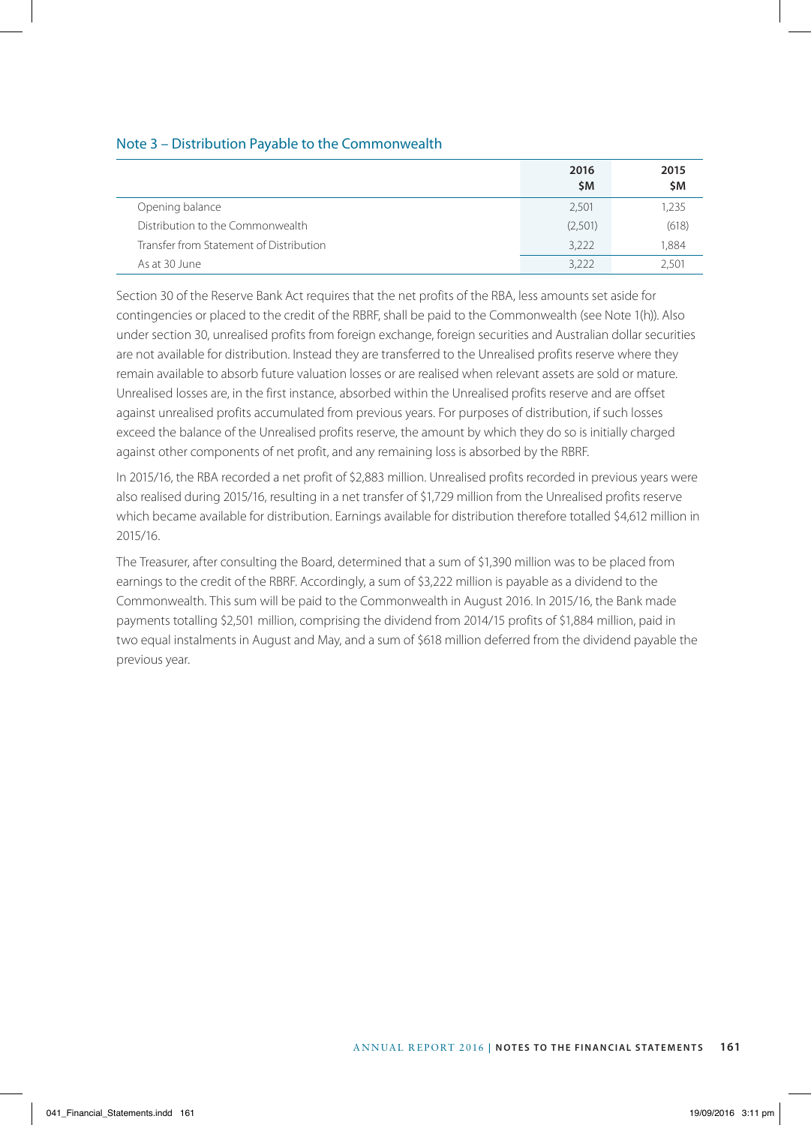# Note 3 – Distribution Payable to the Commonwealth

|                                         | 2016<br>\$M | 2015<br>\$Μ |
|-----------------------------------------|-------------|-------------|
| Opening balance                         | 2,501       | 1.235       |
| Distribution to the Commonwealth        | (2,501)     | (618)       |
| Transfer from Statement of Distribution | 3,222       | 1.884       |
| As at 30 June                           | 3,222       | 2.501       |

Section 30 of the Reserve Bank Act requires that the net profits of the RBA, less amounts set aside for contingencies or placed to the credit of the RBRF, shall be paid to the Commonwealth (see Note 1(h)). Also under section 30, unrealised profits from foreign exchange, foreign securities and Australian dollar securities are not available for distribution. Instead they are transferred to the Unrealised profits reserve where they remain available to absorb future valuation losses or are realised when relevant assets are sold or mature. Unrealised losses are, in the first instance, absorbed within the Unrealised profits reserve and are offset against unrealised profits accumulated from previous years. For purposes of distribution, if such losses exceed the balance of the Unrealised profits reserve, the amount by which they do so is initially charged against other components of net profit, and any remaining loss is absorbed by the RBRF.

In 2015/16, the RBA recorded a net profit of \$2,883 million. Unrealised profits recorded in previous years were also realised during 2015/16, resulting in a net transfer of \$1,729 million from the Unrealised profits reserve which became available for distribution. Earnings available for distribution therefore totalled \$4,612 million in 2015/16.

The Treasurer, after consulting the Board, determined that a sum of \$1,390 million was to be placed from earnings to the credit of the RBRF. Accordingly, a sum of \$3,222 million is payable as a dividend to the Commonwealth. This sum will be paid to the Commonwealth in August 2016. In 2015/16, the Bank made payments totalling \$2,501 million, comprising the dividend from 2014/15 profits of \$1,884 million, paid in two equal instalments in August and May, and a sum of \$618 million deferred from the dividend payable the previous year.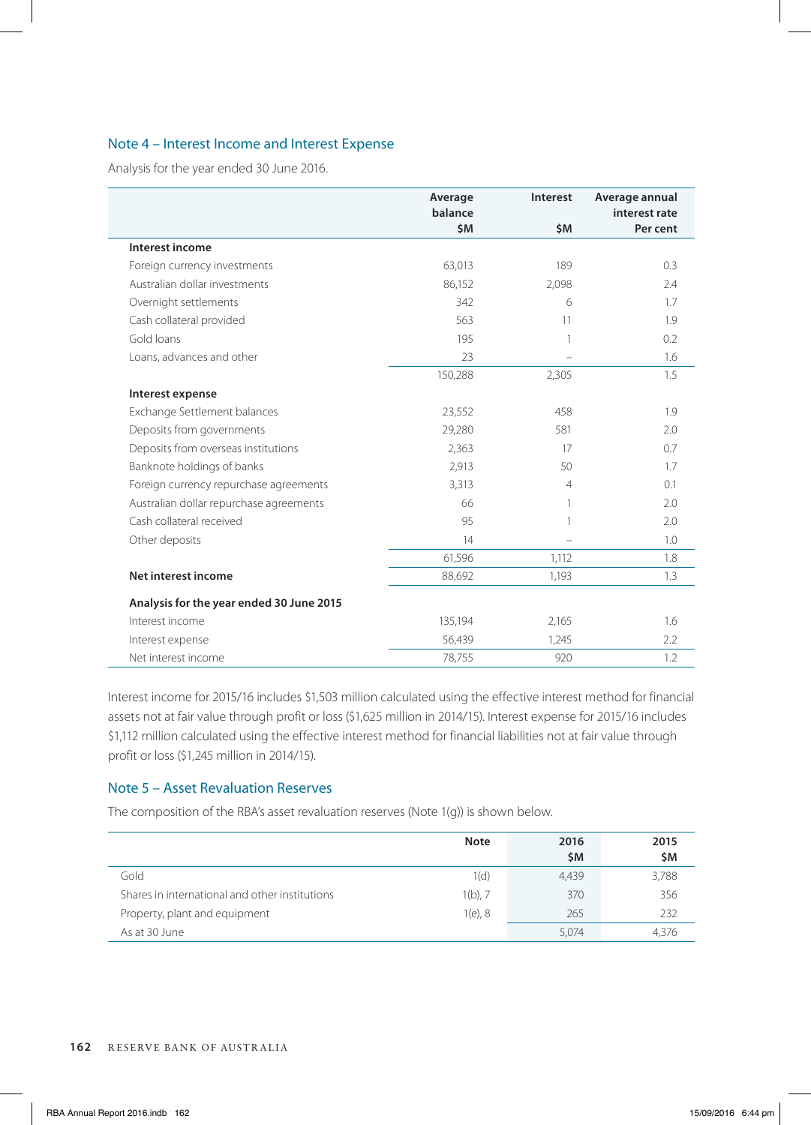# Note 4 – Interest Income and Interest Expense

Analysis for the year ended 30 June 2016.

|                                          | Average<br>balance | Interest       | Average annual<br>interest rate |
|------------------------------------------|--------------------|----------------|---------------------------------|
|                                          | \$M                | \$M            | Per cent                        |
| Interest income                          |                    |                |                                 |
| Foreign currency investments             | 63,013             | 189            | 0.3                             |
| Australian dollar investments            | 86,152             | 2,098          | 2.4                             |
| Overnight settlements                    | 342                | 6              | 1.7                             |
| Cash collateral provided                 | 563                | 11             | 1.9                             |
| Gold loans                               | 195                | 1              | 0.2                             |
| Loans, advances and other                | 23                 |                | 1.6                             |
|                                          | 150,288            | 2,305          | 1.5                             |
| Interest expense                         |                    |                |                                 |
| Exchange Settlement balances             | 23,552             | 458            | 1.9                             |
| Deposits from governments                | 29,280             | 581            | 2.0                             |
| Deposits from overseas institutions      | 2,363              | 17             | 0.7                             |
| Banknote holdings of banks               | 2,913              | 50             | 1.7                             |
| Foreign currency repurchase agreements   | 3,313              | $\overline{4}$ | 0.1                             |
| Australian dollar repurchase agreements  | 66                 | 1              | 2.0                             |
| Cash collateral received                 | 95                 | 1              | 2.0                             |
| Other deposits                           | 14                 | ÷              | 1.0                             |
|                                          | 61,596             | 1,112          | 1.8                             |
| Net interest income                      | 88,692             | 1,193          | 1.3                             |
| Analysis for the year ended 30 June 2015 |                    |                |                                 |
| Interest income                          | 135,194            | 2,165          | 1.6                             |
| Interest expense                         | 56,439             | 1,245          | 2.2                             |
| Net interest income                      | 78,755             | 920            | 1.2                             |

Interest income for 2015/16 includes \$1,503 million calculated using the effective interest method for financial assets not at fair value through profit or loss (\$1,625 million in 2014/15). Interest expense for 2015/16 includes \$1,112 million calculated using the effective interest method for financial liabilities not at fair value through profit or loss (\$1,245 million in 2014/15).

# Note 5 – Asset Revaluation Reserves

The composition of the RBA's asset revaluation reserves (Note 1(g)) is shown below.

|                                                | <b>Note</b> | 2016<br><b>SM</b> | 2015<br>\$M |
|------------------------------------------------|-------------|-------------------|-------------|
| Gold                                           | 1(d)        | 4,439             | 3,788       |
| Shares in international and other institutions | $1(b)$ , 7  | 370               | 356         |
| Property, plant and equipment                  | $1(e)$ , 8  | 265               | 232         |
| As at 30 June                                  |             | 5,074             | 4,376       |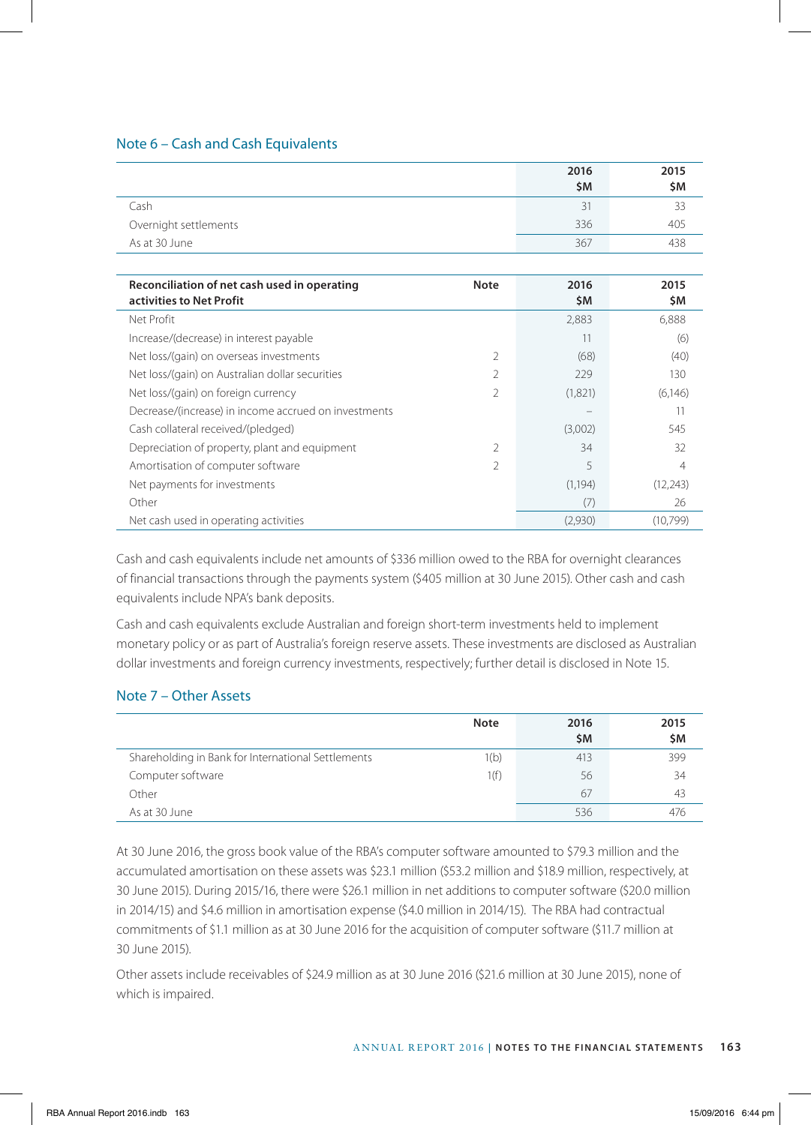# Note 6 – Cash and Cash Equivalents

|                       | 2016<br>\$M | 2015<br>\$M |
|-----------------------|-------------|-------------|
| Cash                  | 31          | 33          |
| Overnight settlements | 336         | 405         |
| As at 30 June         | 367         | 438         |

| Reconciliation of net cash used in operating<br>activities to Net Profit | <b>Note</b> | 2016<br>\$M | 2015<br>\$M |
|--------------------------------------------------------------------------|-------------|-------------|-------------|
| Net Profit                                                               |             | 2,883       | 6,888       |
| Increase/(decrease) in interest payable                                  |             | 11          | (6)         |
| Net loss/(gain) on overseas investments                                  | C.          | (68)        | (40)        |
| Net loss/(gain) on Australian dollar securities                          | 2           | 229         | 130         |
| Net loss/(gain) on foreign currency                                      | 2           | (1,821)     | (6,146)     |
| Decrease/(increase) in income accrued on investments                     |             |             | 11          |
| Cash collateral received/(pledged)                                       |             | (3,002)     | 545         |
| Depreciation of property, plant and equipment                            | C.          | 34          | 32          |
| Amortisation of computer software                                        | 2           | 5           | 4           |
| Net payments for investments                                             |             | (1, 194)    | (12, 243)   |
| Other                                                                    |             | (7)         | 26          |
| Net cash used in operating activities                                    |             | (2,930)     | (10.799)    |

Cash and cash equivalents include net amounts of \$336 million owed to the RBA for overnight clearances of financial transactions through the payments system (\$405 million at 30 June 2015). Other cash and cash equivalents include NPA's bank deposits.

Cash and cash equivalents exclude Australian and foreign short-term investments held to implement monetary policy or as part of Australia's foreign reserve assets. These investments are disclosed as Australian dollar investments and foreign currency investments, respectively; further detail is disclosed in Note 15.

# Note 7 – Other Assets

|                                                    | <b>Note</b> | 2016<br><b>SM</b> | 2015<br>\$M |
|----------------------------------------------------|-------------|-------------------|-------------|
| Shareholding in Bank for International Settlements | 1(b)        | 413               | 399         |
| Computer software                                  | 1(f)        | 56                | 34          |
| Other                                              |             | 67                | 43          |
| As at 30 June                                      |             | 536               |             |

At 30 June 2016, the gross book value of the RBA's computer software amounted to \$79.3 million and the accumulated amortisation on these assets was \$23.1 million (\$53.2 million and \$18.9 million, respectively, at 30 June 2015). During 2015/16, there were \$26.1 million in net additions to computer software (\$20.0 million in 2014/15) and \$4.6 million in amortisation expense (\$4.0 million in 2014/15). The RBA had contractual commitments of \$1.1 million as at 30 June 2016 for the acquisition of computer software (\$11.7 million at 30 June 2015).

Other assets include receivables of \$24.9 million as at 30 June 2016 (\$21.6 million at 30 June 2015), none of which is impaired.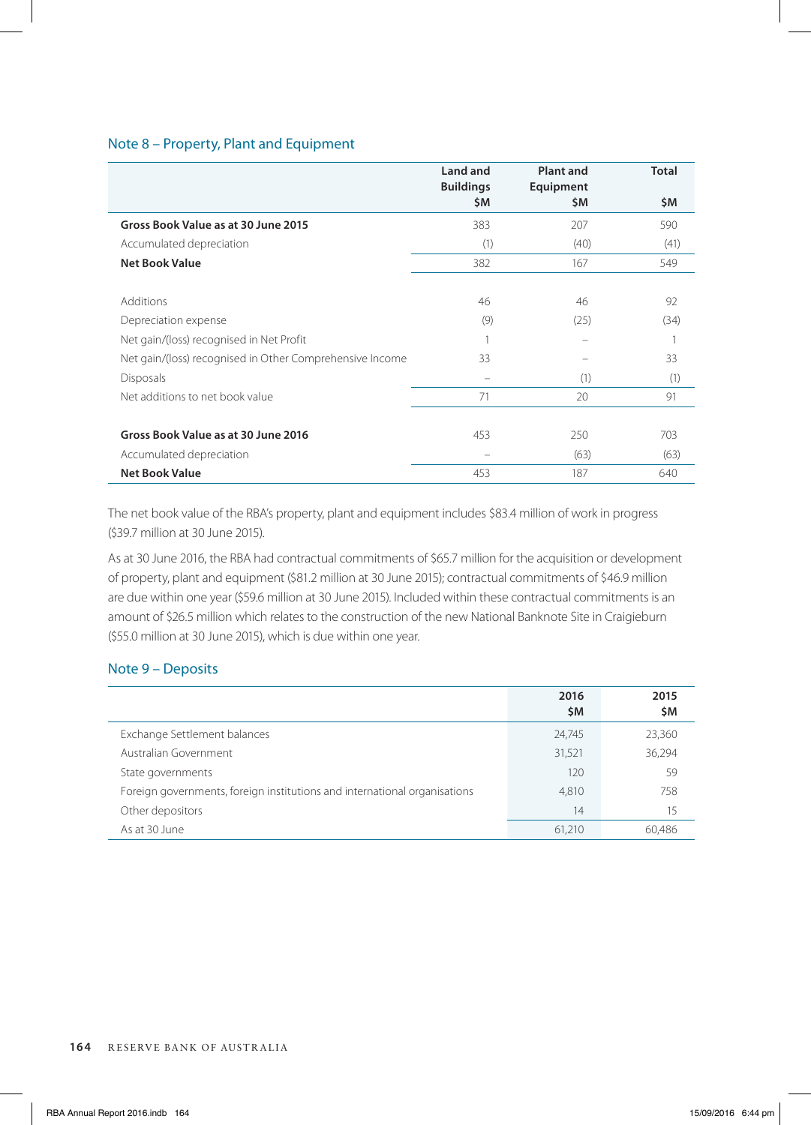# Note 8 – Property, Plant and Equipment

|                                                          | Land and<br><b>Buildings</b> | <b>Plant and</b><br>Equipment | <b>Total</b> |
|----------------------------------------------------------|------------------------------|-------------------------------|--------------|
|                                                          | \$M                          | \$Μ                           | \$M          |
| Gross Book Value as at 30 June 2015                      | 383                          | 207                           | 590          |
| Accumulated depreciation                                 | (1)                          | (40)                          | (41)         |
| <b>Net Book Value</b>                                    | 382                          | 167                           | 549          |
|                                                          |                              |                               |              |
| Additions                                                | 46                           | 46                            | 92           |
| Depreciation expense                                     | (9)                          | (25)                          | (34)         |
| Net gain/(loss) recognised in Net Profit                 |                              |                               |              |
| Net gain/(loss) recognised in Other Comprehensive Income | 33                           |                               | 33           |
| <b>Disposals</b>                                         |                              | (1)                           | (1)          |
| Net additions to net book value                          | 71                           | 20                            | 91           |
|                                                          |                              |                               |              |
| Gross Book Value as at 30 June 2016                      | 453                          | 250                           | 703          |
| Accumulated depreciation                                 |                              | (63)                          | (63)         |
| <b>Net Book Value</b>                                    | 453                          | 187                           | 640          |

The net book value of the RBA's property, plant and equipment includes \$83.4 million of work in progress (\$39.7 million at 30 June 2015).

As at 30 June 2016, the RBA had contractual commitments of \$65.7 million for the acquisition or development of property, plant and equipment (\$81.2 million at 30 June 2015); contractual commitments of \$46.9 million are due within one year (\$59.6 million at 30 June 2015). Included within these contractual commitments is an amount of \$26.5 million which relates to the construction of the new National Banknote Site in Craigieburn (\$55.0 million at 30 June 2015), which is due within one year.

# Note 9 – Deposits

|                                                                           | 2016<br>\$Μ | 2015<br>\$M |
|---------------------------------------------------------------------------|-------------|-------------|
| Exchange Settlement balances                                              | 24,745      | 23,360      |
| Australian Government                                                     | 31,521      | 36,294      |
| State governments                                                         | 120         | 59          |
| Foreign governments, foreign institutions and international organisations | 4.810       | 758         |
| Other depositors                                                          | 14          | 15          |
| As at 30 June                                                             | 61,210      | 60.486      |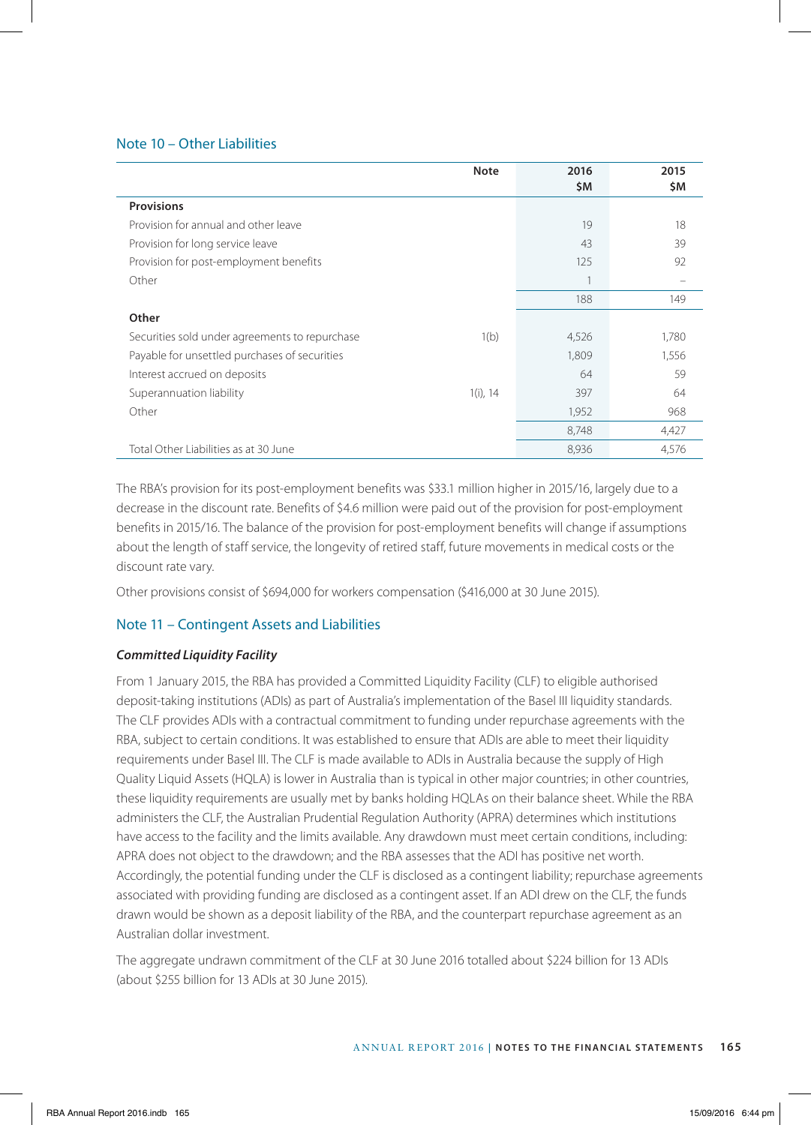# Note 10 – Other Liabilities

|                                                | <b>Note</b> | 2016<br>\$M | 2015<br>\$M |
|------------------------------------------------|-------------|-------------|-------------|
| <b>Provisions</b>                              |             |             |             |
| Provision for annual and other leave           |             | 19          | 18          |
| Provision for long service leave               |             | 43          | 39          |
| Provision for post-employment benefits         |             | 125         | 92          |
| Other                                          |             |             |             |
|                                                |             | 188         | 149         |
| Other                                          |             |             |             |
| Securities sold under agreements to repurchase | 1(b)        | 4,526       | 1,780       |
| Payable for unsettled purchases of securities  |             | 1,809       | 1,556       |
| Interest accrued on deposits                   |             | 64          | 59          |
| Superannuation liability                       | $1(i)$ , 14 | 397         | 64          |
| Other                                          |             | 1,952       | 968         |
|                                                |             | 8,748       | 4,427       |
| Total Other Liabilities as at 30 June          |             | 8,936       | 4,576       |

The RBA's provision for its post-employment benefits was \$33.1 million higher in 2015/16, largely due to a decrease in the discount rate. Benefits of \$4.6 million were paid out of the provision for post-employment benefits in 2015/16. The balance of the provision for post-employment benefits will change if assumptions about the length of staff service, the longevity of retired staff, future movements in medical costs or the discount rate vary.

Other provisions consist of \$694,000 for workers compensation (\$416,000 at 30 June 2015).

# Note 11 – Contingent Assets and Liabilities

# *Committed Liquidity Facility*

From 1 January 2015, the RBA has provided a Committed Liquidity Facility (CLF) to eligible authorised deposit-taking institutions (ADIs) as part of Australia's implementation of the Basel III liquidity standards. The CLF provides ADIs with a contractual commitment to funding under repurchase agreements with the RBA, subject to certain conditions. It was established to ensure that ADIs are able to meet their liquidity requirements under Basel III. The CLF is made available to ADIs in Australia because the supply of High Quality Liquid Assets (HQLA) is lower in Australia than is typical in other major countries; in other countries, these liquidity requirements are usually met by banks holding HQLAs on their balance sheet. While the RBA administers the CLF, the Australian Prudential Regulation Authority (APRA) determines which institutions have access to the facility and the limits available. Any drawdown must meet certain conditions, including: APRA does not object to the drawdown; and the RBA assesses that the ADI has positive net worth. Accordingly, the potential funding under the CLF is disclosed as a contingent liability; repurchase agreements associated with providing funding are disclosed as a contingent asset. If an ADI drew on the CLF, the funds drawn would be shown as a deposit liability of the RBA, and the counterpart repurchase agreement as an Australian dollar investment.

The aggregate undrawn commitment of the CLF at 30 June 2016 totalled about \$224 billion for 13 ADIs (about \$255 billion for 13 ADIs at 30 June 2015).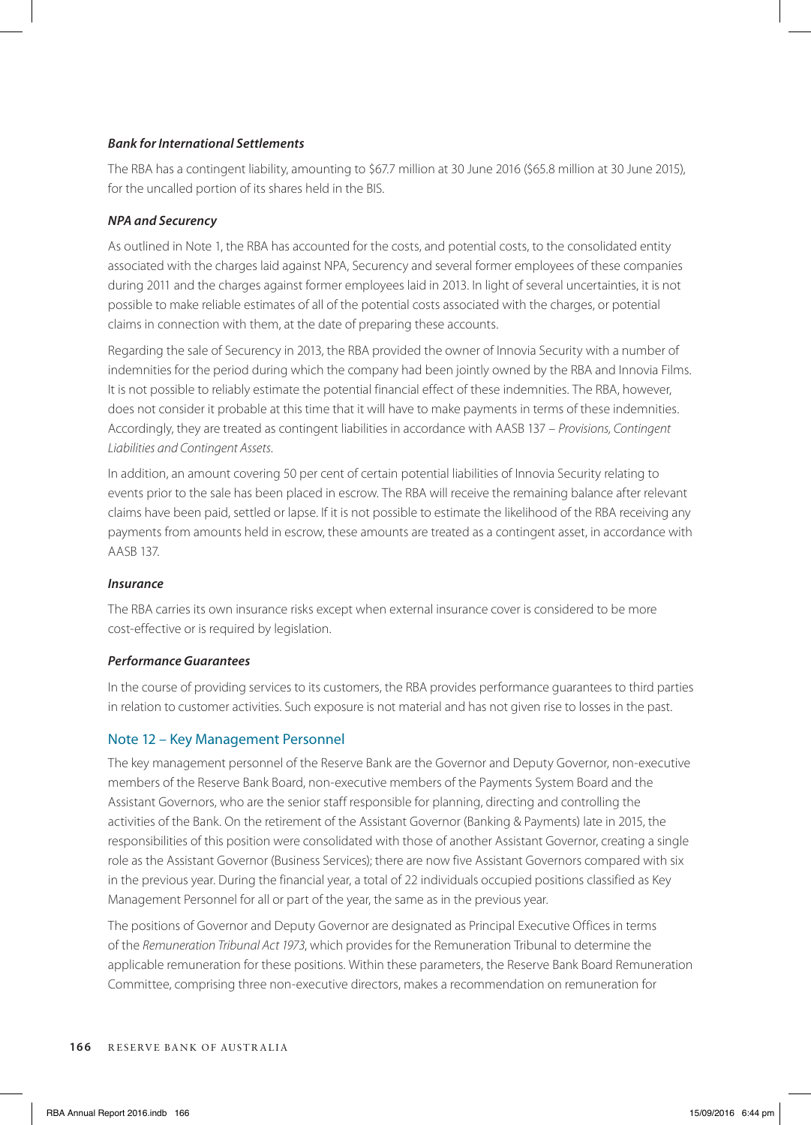# *Bank for International Settlements*

The RBA has a contingent liability, amounting to \$67.7 million at 30 June 2016 (\$65.8 million at 30 June 2015), for the uncalled portion of its shares held in the BIS.

# *NPA and Securency*

As outlined in Note 1, the RBA has accounted for the costs, and potential costs, to the consolidated entity associated with the charges laid against NPA, Securency and several former employees of these companies during 2011 and the charges against former employees laid in 2013. In light of several uncertainties, it is not possible to make reliable estimates of all of the potential costs associated with the charges, or potential claims in connection with them, at the date of preparing these accounts.

Regarding the sale of Securency in 2013, the RBA provided the owner of Innovia Security with a number of indemnities for the period during which the company had been jointly owned by the RBA and Innovia Films. It is not possible to reliably estimate the potential financial effect of these indemnities. The RBA, however, does not consider it probable at this time that it will have to make payments in terms of these indemnities. Accordingly, they are treated as contingent liabilities in accordance with AASB 137 – *Provisions, Contingent Liabilities and Contingent Assets*.

In addition, an amount covering 50 per cent of certain potential liabilities of Innovia Security relating to events prior to the sale has been placed in escrow. The RBA will receive the remaining balance after relevant claims have been paid, settled or lapse. If it is not possible to estimate the likelihood of the RBA receiving any payments from amounts held in escrow, these amounts are treated as a contingent asset, in accordance with AASB 137.

# *Insurance*

The RBA carries its own insurance risks except when external insurance cover is considered to be more cost-effective or is required by legislation.

# *Performance Guarantees*

In the course of providing services to its customers, the RBA provides performance guarantees to third parties in relation to customer activities. Such exposure is not material and has not given rise to losses in the past.

# Note 12 – Key Management Personnel

The key management personnel of the Reserve Bank are the Governor and Deputy Governor, non-executive members of the Reserve Bank Board, non-executive members of the Payments System Board and the Assistant Governors, who are the senior staff responsible for planning, directing and controlling the activities of the Bank. On the retirement of the Assistant Governor (Banking & Payments) late in 2015, the responsibilities of this position were consolidated with those of another Assistant Governor, creating a single role as the Assistant Governor (Business Services); there are now five Assistant Governors compared with six in the previous year. During the financial year, a total of 22 individuals occupied positions classified as Key Management Personnel for all or part of the year, the same as in the previous year.

The positions of Governor and Deputy Governor are designated as Principal Executive Offices in terms of the *Remuneration Tribunal Act 1973*, which provides for the Remuneration Tribunal to determine the applicable remuneration for these positions. Within these parameters, the Reserve Bank Board Remuneration Committee, comprising three non-executive directors, makes a recommendation on remuneration for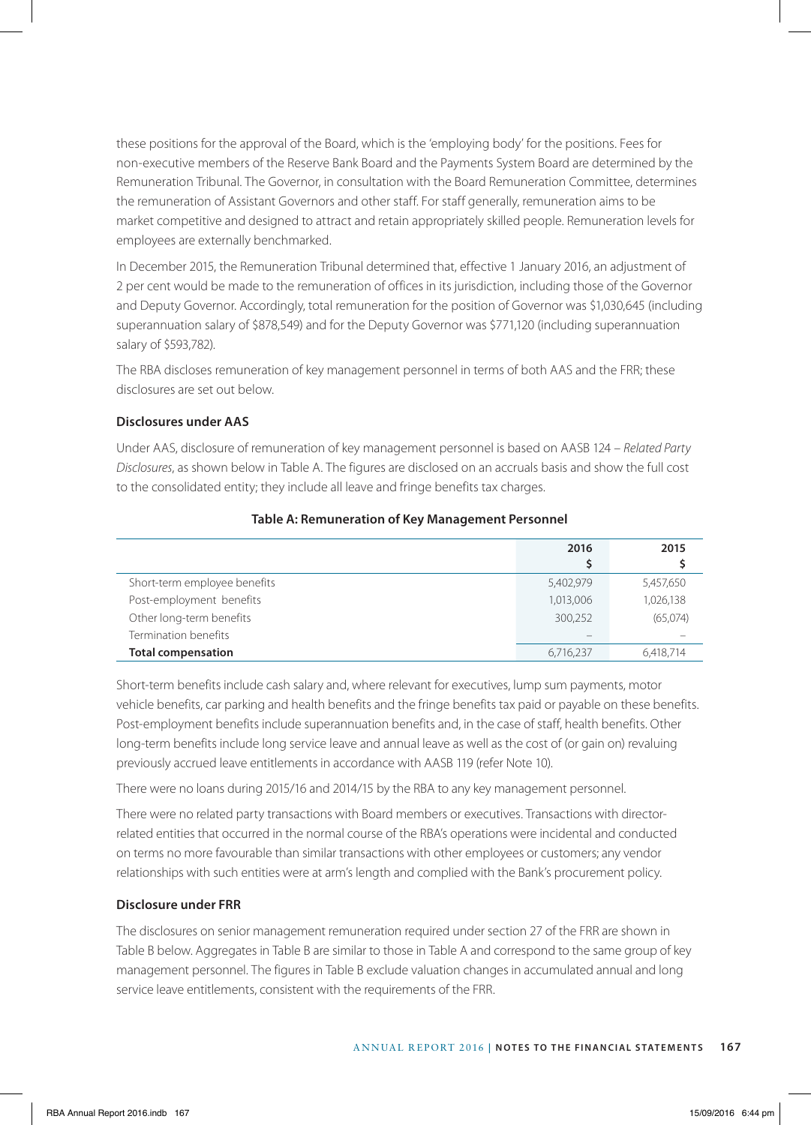these positions for the approval of the Board, which is the 'employing body' for the positions. Fees for non-executive members of the Reserve Bank Board and the Payments System Board are determined by the Remuneration Tribunal. The Governor, in consultation with the Board Remuneration Committee, determines the remuneration of Assistant Governors and other staff. For staff generally, remuneration aims to be market competitive and designed to attract and retain appropriately skilled people. Remuneration levels for employees are externally benchmarked.

In December 2015, the Remuneration Tribunal determined that, effective 1 January 2016, an adjustment of 2 per cent would be made to the remuneration of offices in its jurisdiction, including those of the Governor and Deputy Governor. Accordingly, total remuneration for the position of Governor was \$1,030,645 (including superannuation salary of \$878,549) and for the Deputy Governor was \$771,120 (including superannuation salary of \$593,782).

The RBA discloses remuneration of key management personnel in terms of both AAS and the FRR; these disclosures are set out below.

# **Disclosures under AAS**

Under AAS, disclosure of remuneration of key management personnel is based on AASB 124 – *Related Party Disclosures*, as shown below in Table A. The figures are disclosed on an accruals basis and show the full cost to the consolidated entity; they include all leave and fringe benefits tax charges.

|                              | 2016      | 2015      |
|------------------------------|-----------|-----------|
| Short-term employee benefits | 5,402,979 | 5,457,650 |
| Post-employment benefits     | 1,013,006 | 1,026,138 |
| Other long-term benefits     | 300,252   | (65,074)  |
| Termination benefits         |           |           |
| <b>Total compensation</b>    | 6,716,237 | 6,418,714 |

# **Table A: Remuneration of Key Management Personnel**

Short-term benefits include cash salary and, where relevant for executives, lump sum payments, motor vehicle benefits, car parking and health benefits and the fringe benefits tax paid or payable on these benefits. Post-employment benefits include superannuation benefits and, in the case of staff, health benefits. Other long-term benefits include long service leave and annual leave as well as the cost of (or gain on) revaluing previously accrued leave entitlements in accordance with AASB 119 (refer Note 10).

There were no loans during 2015/16 and 2014/15 by the RBA to any key management personnel.

There were no related party transactions with Board members or executives. Transactions with directorrelated entities that occurred in the normal course of the RBA's operations were incidental and conducted on terms no more favourable than similar transactions with other employees or customers; any vendor relationships with such entities were at arm's length and complied with the Bank's procurement policy.

# **Disclosure under FRR**

The disclosures on senior management remuneration required under section 27 of the FRR are shown in Table B below. Aggregates in Table B are similar to those in Table A and correspond to the same group of key management personnel. The figures in Table B exclude valuation changes in accumulated annual and long service leave entitlements, consistent with the requirements of the FRR.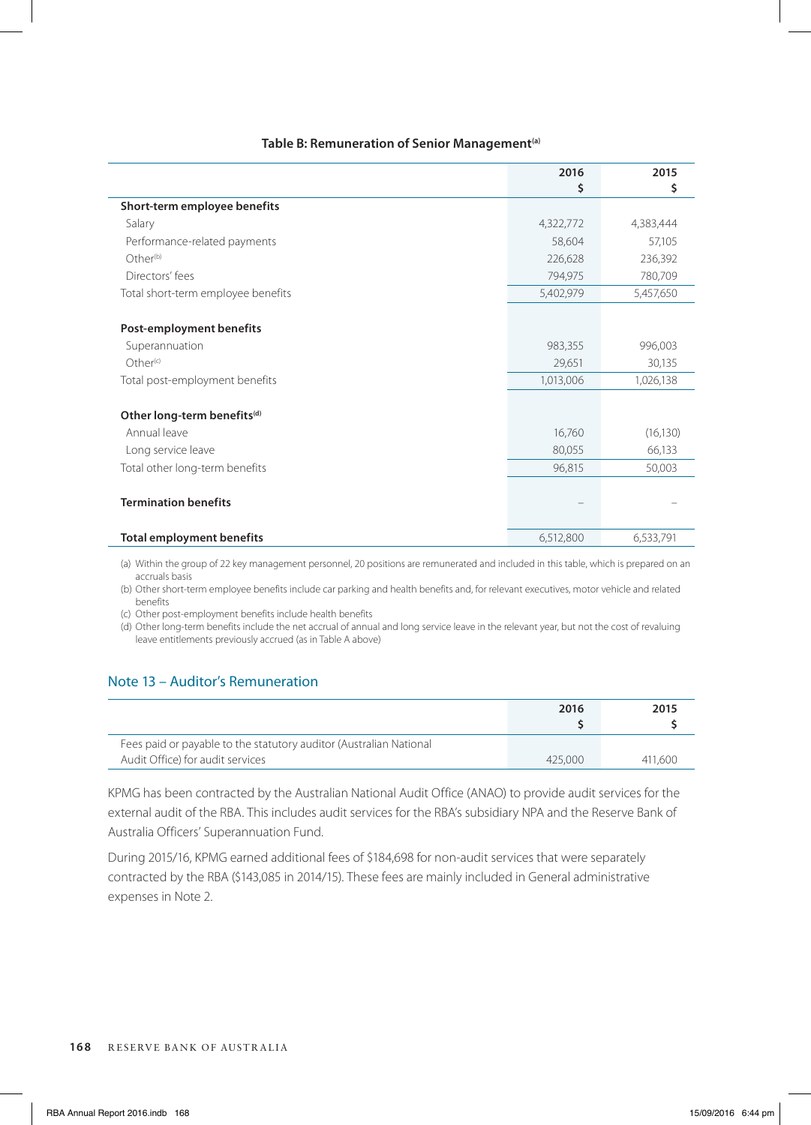|                                         | 2016      | 2015      |
|-----------------------------------------|-----------|-----------|
|                                         | \$        | \$        |
| Short-term employee benefits            |           |           |
| Salary                                  | 4,322,772 | 4,383,444 |
| Performance-related payments            | 58,604    | 57,105    |
| Other <sup>(b)</sup>                    | 226,628   | 236,392   |
| Directors' fees                         | 794,975   | 780,709   |
| Total short-term employee benefits      | 5,402,979 | 5,457,650 |
|                                         |           |           |
| Post-employment benefits                |           |           |
| Superannuation                          | 983,355   | 996,003   |
| Other <sup>(c)</sup>                    | 29,651    | 30,135    |
| Total post-employment benefits          | 1,013,006 | 1,026,138 |
|                                         |           |           |
| Other long-term benefits <sup>(d)</sup> |           |           |
| Annual leave                            | 16,760    | (16, 130) |
| Long service leave                      | 80,055    | 66,133    |
| Total other long-term benefits          | 96,815    | 50,003    |
|                                         |           |           |
| <b>Termination benefits</b>             |           |           |
|                                         |           |           |
| <b>Total employment benefits</b>        | 6,512,800 | 6,533,791 |

(a) Within the group of 22 key management personnel, 20 positions are remunerated and included in this table, which is prepared on an accruals basis

(b) Other short-term employee benefits include car parking and health benefits and, for relevant executives, motor vehicle and related benefits

(c) Other post-employment benefits include health benefits

(d) Other long-term benefits include the net accrual of annual and long service leave in the relevant year, but not the cost of revaluing leave entitlements previously accrued (as in Table A above)

# Note 13 – Auditor's Remuneration

|                                                                    | 2016    | 2015    |
|--------------------------------------------------------------------|---------|---------|
| Fees paid or payable to the statutory auditor (Australian National |         |         |
| Audit Office) for audit services                                   | 425,000 | 411.600 |

KPMG has been contracted by the Australian National Audit Office (ANAO) to provide audit services for the external audit of the RBA. This includes audit services for the RBA's subsidiary NPA and the Reserve Bank of Australia Officers' Superannuation Fund.

During 2015/16, KPMG earned additional fees of \$184,698 for non-audit services that were separately contracted by the RBA (\$143,085 in 2014/15). These fees are mainly included in General administrative expenses in Note 2.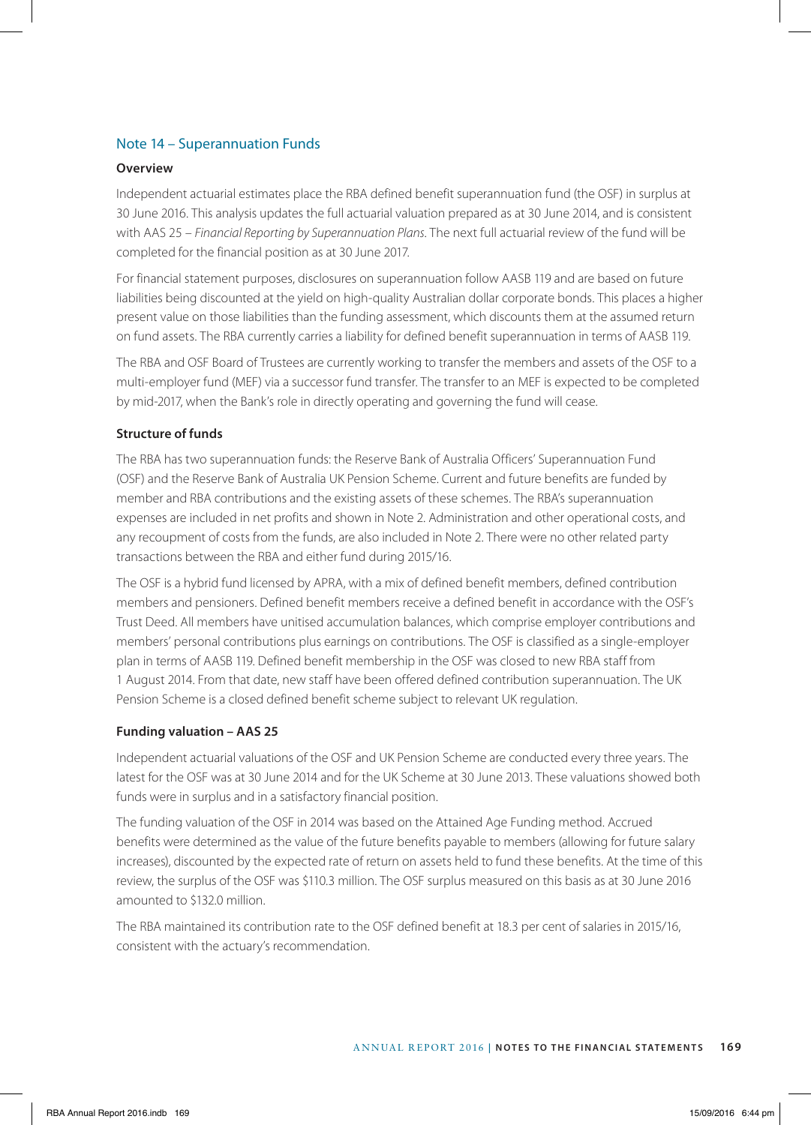# Note 14 – Superannuation Funds

#### **Overview**

Independent actuarial estimates place the RBA defined benefit superannuation fund (the OSF) in surplus at 30 June 2016. This analysis updates the full actuarial valuation prepared as at 30 June 2014, and is consistent with AAS 25 – *Financial Reporting by Superannuation Plans*. The next full actuarial review of the fund will be completed for the financial position as at 30 June 2017.

For financial statement purposes, disclosures on superannuation follow AASB 119 and are based on future liabilities being discounted at the yield on high-quality Australian dollar corporate bonds. This places a higher present value on those liabilities than the funding assessment, which discounts them at the assumed return on fund assets. The RBA currently carries a liability for defined benefit superannuation in terms of AASB 119.

The RBA and OSF Board of Trustees are currently working to transfer the members and assets of the OSF to a multi-employer fund (MEF) via a successor fund transfer. The transfer to an MEF is expected to be completed by mid-2017, when the Bank's role in directly operating and governing the fund will cease.

# **Structure of funds**

The RBA has two superannuation funds: the Reserve Bank of Australia Officers' Superannuation Fund (OSF) and the Reserve Bank of Australia UK Pension Scheme. Current and future benefits are funded by member and RBA contributions and the existing assets of these schemes. The RBA's superannuation expenses are included in net profits and shown in Note 2. Administration and other operational costs, and any recoupment of costs from the funds, are also included in Note 2. There were no other related party transactions between the RBA and either fund during 2015/16.

The OSF is a hybrid fund licensed by APRA, with a mix of defined benefit members, defined contribution members and pensioners. Defined benefit members receive a defined benefit in accordance with the OSF's Trust Deed. All members have unitised accumulation balances, which comprise employer contributions and members' personal contributions plus earnings on contributions. The OSF is classified as a single-employer plan in terms of AASB 119. Defined benefit membership in the OSF was closed to new RBA staff from 1 August 2014. From that date, new staff have been offered defined contribution superannuation. The UK Pension Scheme is a closed defined benefit scheme subject to relevant UK regulation.

# **Funding valuation – AAS 25**

Independent actuarial valuations of the OSF and UK Pension Scheme are conducted every three years. The latest for the OSF was at 30 June 2014 and for the UK Scheme at 30 June 2013. These valuations showed both funds were in surplus and in a satisfactory financial position.

The funding valuation of the OSF in 2014 was based on the Attained Age Funding method. Accrued benefits were determined as the value of the future benefits payable to members (allowing for future salary increases), discounted by the expected rate of return on assets held to fund these benefits. At the time of this review, the surplus of the OSF was \$110.3 million. The OSF surplus measured on this basis as at 30 June 2016 amounted to \$132.0 million.

The RBA maintained its contribution rate to the OSF defined benefit at 18.3 per cent of salaries in 2015/16, consistent with the actuary's recommendation.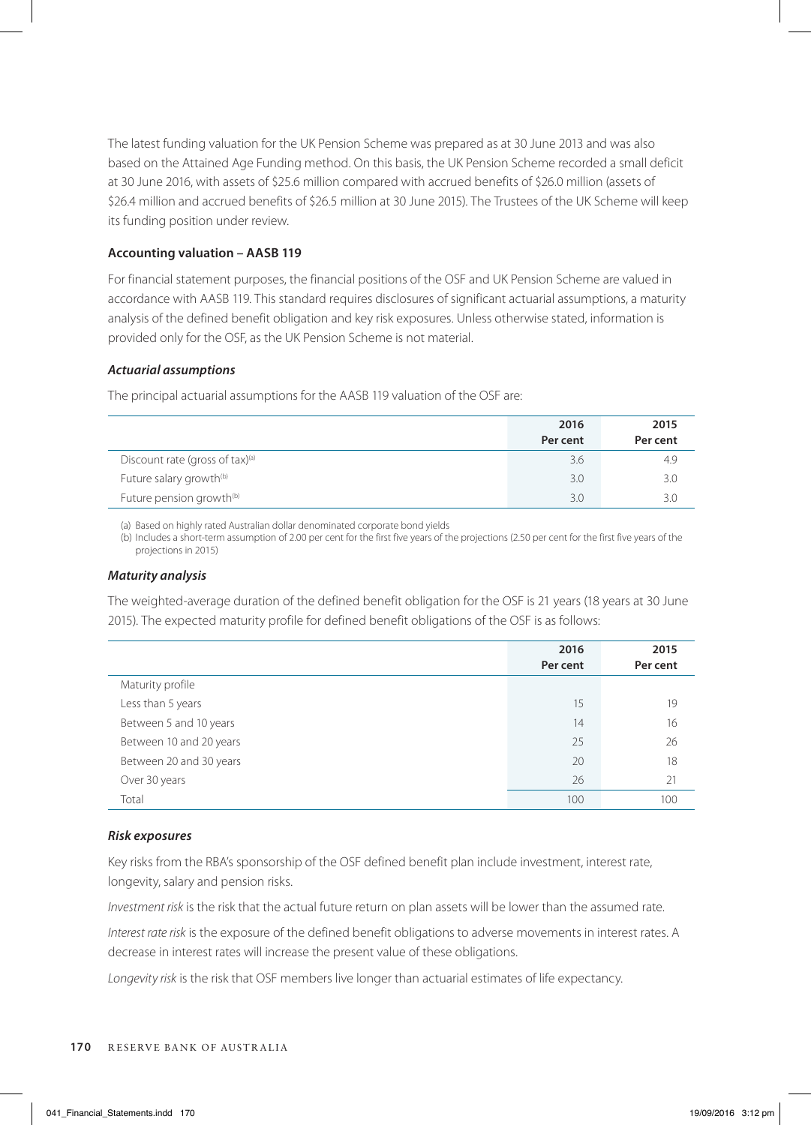The latest funding valuation for the UK Pension Scheme was prepared as at 30 June 2013 and was also based on the Attained Age Funding method. On this basis, the UK Pension Scheme recorded a small deficit at 30 June 2016, with assets of \$25.6 million compared with accrued benefits of \$26.0 million (assets of \$26.4 million and accrued benefits of \$26.5 million at 30 June 2015). The Trustees of the UK Scheme will keep its funding position under review.

# **Accounting valuation – AASB 119**

For financial statement purposes, the financial positions of the OSF and UK Pension Scheme are valued in accordance with AASB 119. This standard requires disclosures of significant actuarial assumptions, a maturity analysis of the defined benefit obligation and key risk exposures. Unless otherwise stated, information is provided only for the OSF, as the UK Pension Scheme is not material.

# *Actuarial assumptions*

The principal actuarial assumptions for the AASB 119 valuation of the OSF are:

|                                      | 2016     | 2015     |
|--------------------------------------|----------|----------|
|                                      | Per cent | Per cent |
| Discount rate (gross of tax)(a)      | 3.6      | 4.9      |
| Future salary growth <sup>(b)</sup>  | 3.0      | 3.0      |
| Future pension growth <sup>(b)</sup> | 3.0      |          |

(a) Based on highly rated Australian dollar denominated corporate bond yields

(b) Includes a short-term assumption of 2.00 per cent for the first five years of the projections (2.50 per cent for the first five years of the projections in 2015)

# *Maturity analysis*

The weighted-average duration of the defined benefit obligation for the OSF is 21 years (18 years at 30 June 2015). The expected maturity profile for defined benefit obligations of the OSF is as follows:

|                         | 2016<br>Per cent | 2015<br>Per cent |
|-------------------------|------------------|------------------|
| Maturity profile        |                  |                  |
| Less than 5 years       | 15               | 19               |
| Between 5 and 10 years  | 14               | 16               |
| Between 10 and 20 years | 25               | 26               |
| Between 20 and 30 years | 20               | 18               |
| Over 30 years           | 26               | 21               |
| Total                   | 100              | 100              |

# *Risk exposures*

Key risks from the RBA's sponsorship of the OSF defined benefit plan include investment, interest rate, longevity, salary and pension risks.

*Investment risk* is the risk that the actual future return on plan assets will be lower than the assumed rate.

*Interest rate risk* is the exposure of the defined benefit obligations to adverse movements in interest rates. A decrease in interest rates will increase the present value of these obligations.

*Longevity risk* is the risk that OSF members live longer than actuarial estimates of life expectancy.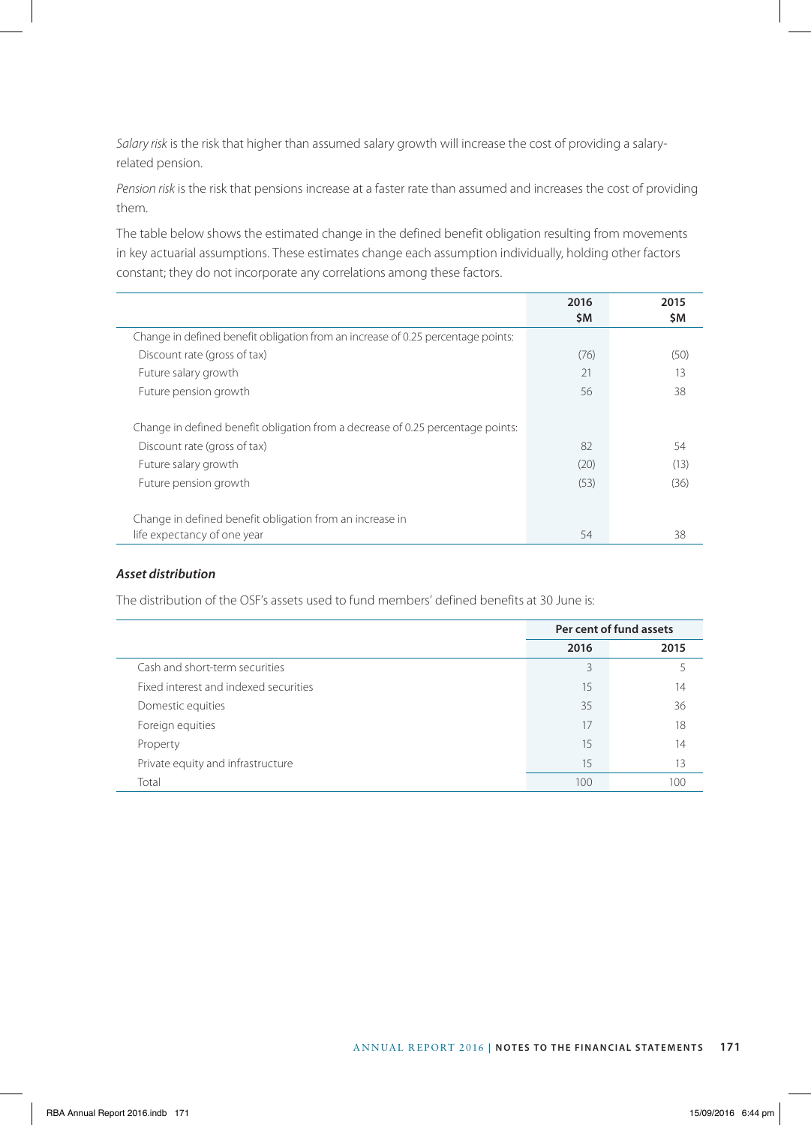*Salary risk* is the risk that higher than assumed salary growth will increase the cost of providing a salaryrelated pension.

*Pension risk* is the risk that pensions increase at a faster rate than assumed and increases the cost of providing them.

The table below shows the estimated change in the defined benefit obligation resulting from movements in key actuarial assumptions. These estimates change each assumption individually, holding other factors constant; they do not incorporate any correlations among these factors.

|                                                                                  | 2016<br>\$M | 2015<br>\$Μ |
|----------------------------------------------------------------------------------|-------------|-------------|
| Change in defined benefit obligation from an increase of 0.25 percentage points: |             |             |
| Discount rate (gross of tax)                                                     | (76)        | (50)        |
| Future salary growth                                                             | 21          | 13          |
| Future pension growth                                                            | 56          | 38          |
| Change in defined benefit obligation from a decrease of 0.25 percentage points:  |             |             |
| Discount rate (gross of tax)                                                     | 82          | 54          |
| Future salary growth                                                             | (20)        | (13)        |
| Future pension growth                                                            | (53)        | (36)        |
| Change in defined benefit obligation from an increase in                         |             |             |
| life expectancy of one year                                                      | 54          | 38          |

# *Asset distribution*

The distribution of the OSF's assets used to fund members' defined benefits at 30 June is:

|                                       |      | Per cent of fund assets |
|---------------------------------------|------|-------------------------|
|                                       | 2016 | 2015                    |
| Cash and short-term securities        | 3    |                         |
| Fixed interest and indexed securities | 15   | 14                      |
| Domestic equities                     | 35   | 36                      |
| Foreign equities                      | 17   | 18                      |
| Property                              | 15   | 14                      |
| Private equity and infrastructure     | 15   | 13                      |
| Total                                 | 100  | 100                     |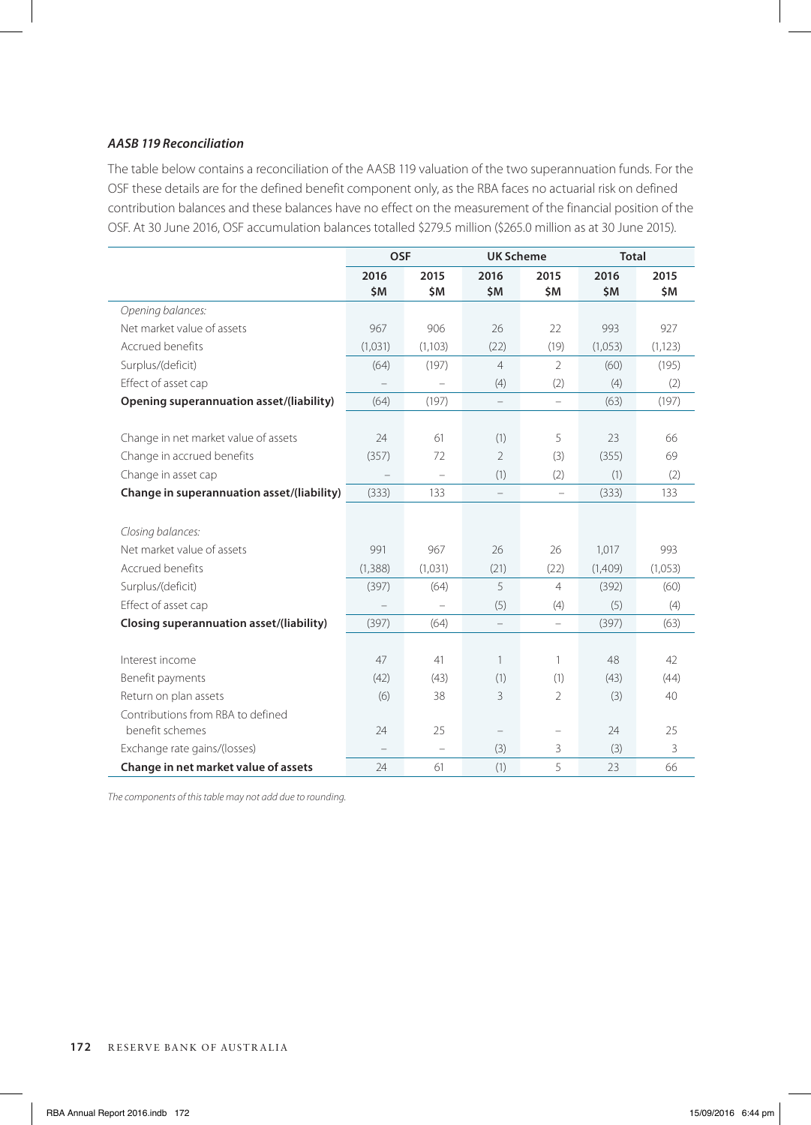# *AASB 119 Reconciliation*

The table below contains a reconciliation of the AASB 119 valuation of the two superannuation funds. For the OSF these details are for the defined benefit component only, as the RBA faces no actuarial risk on defined contribution balances and these balances have no effect on the measurement of the financial position of the OSF. At 30 June 2016, OSF accumulation balances totalled \$279.5 million (\$265.0 million as at 30 June 2015).

|                                            | <b>OSF</b>  |                          | <b>UK Scheme</b>         |                   | <b>Total</b> |             |
|--------------------------------------------|-------------|--------------------------|--------------------------|-------------------|--------------|-------------|
|                                            | 2016<br>\$M | 2015<br>\$M              | 2016<br>\$M              | 2015<br>\$Μ       | 2016<br>\$M  | 2015<br>\$Μ |
| Opening balances:                          |             |                          |                          |                   |              |             |
| Net market value of assets                 | 967         | 906                      | 26                       | 22                | 993          | 927         |
| Accrued benefits                           | (1,031)     | (1,103)                  | (22)                     | (19)              | (1,053)      | (1, 123)    |
| Surplus/(deficit)                          | (64)        | (197)                    | $\overline{4}$           | $\mathcal{P}$     | (60)         | (195)       |
| Effect of asset cap                        |             |                          | (4)                      | (2)               | (4)          | (2)         |
| Opening superannuation asset/(liability)   | (64)        | (197)                    |                          | $\equiv$          | (63)         | (197)       |
| Change in net market value of assets       | 24          | 61                       | (1)                      | 5                 | 23           | 66          |
| Change in accrued benefits                 | (357)       | 72                       | $\overline{2}$           | (3)               | (355)        | 69          |
| Change in asset cap                        |             | $\overline{\phantom{0}}$ | (1)                      | (2)               | (1)          | (2)         |
| Change in superannuation asset/(liability) | (333)       | 133                      | $\overline{\phantom{0}}$ | $\qquad \qquad -$ | (333)        | 133         |
| Closing balances:                          |             |                          |                          |                   |              |             |
| Net market value of assets                 | 991         | 967                      | 26                       | 26                | 1,017        | 993         |
| Accrued benefits                           | (1, 388)    | (1,031)                  | (21)                     | (22)              | (1,409)      | (1,053)     |
| Surplus/(deficit)                          | (397)       | (64)                     | 5                        | $\overline{4}$    | (392)        | (60)        |
| Effect of asset cap                        |             |                          | (5)                      | (4)               | (5)          | (4)         |
| Closing superannuation asset/(liability)   | (397)       | (64)                     |                          |                   | (397)        | (63)        |
| Interest income                            | 47          | 41                       | $\mathbf{1}$             | $\mathbf{1}$      | 48           | 42          |
| Benefit payments                           | (42)        | (43)                     | (1)                      | (1)               | (43)         | (44)        |
| Return on plan assets                      | (6)         | 38                       | 3                        | $\mathcal{P}$     | (3)          | 40          |
| Contributions from RBA to defined          |             |                          |                          |                   |              |             |
| benefit schemes                            | 24          | 25                       | $\qquad \qquad -$        | $\qquad \qquad -$ | 24           | 25          |
| Exchange rate gains/(losses)               |             | ÷                        | (3)                      | 3                 | (3)          | 3           |
| Change in net market value of assets       | 24          | 61                       | (1)                      | 5                 | 23           | 66          |

*The components of this table may not add due to rounding.*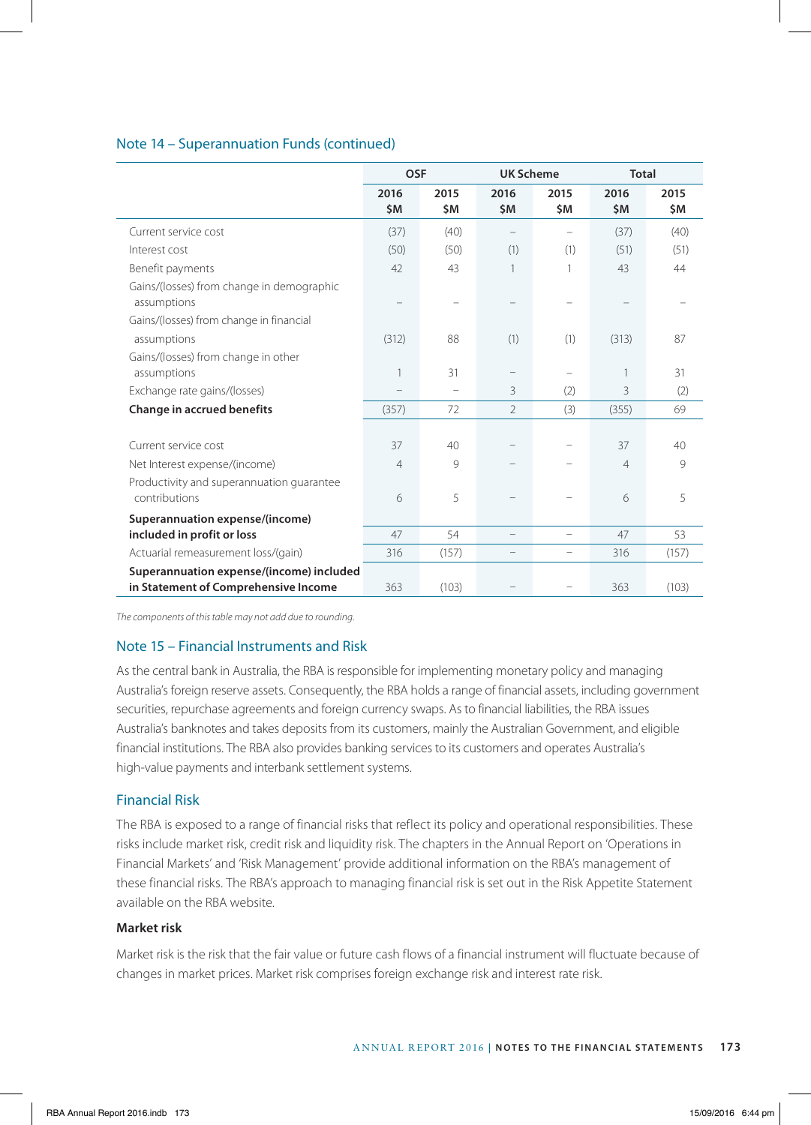# Note 14 – Superannuation Funds (continued)

|                                           | <b>OSF</b>     |                          | <b>UK Scheme</b>  |             | <b>Total</b>   |             |
|-------------------------------------------|----------------|--------------------------|-------------------|-------------|----------------|-------------|
|                                           | 2016<br>\$M    | 2015<br>\$M              | 2016<br>\$M       | 2015<br>\$M | 2016<br>\$M    | 2015<br>\$M |
| Current service cost                      | (37)           | (40)                     |                   |             | (37)           | (40)        |
| Interest cost                             | (50)           | (50)                     | (1)               | (1)         | (51)           | (51)        |
| Benefit payments                          | 42             | 43                       | 1                 | 1           | 43             | 44          |
| Gains/(losses) from change in demographic |                |                          |                   |             |                |             |
| assumptions                               |                |                          |                   |             |                |             |
| Gains/(losses) from change in financial   |                |                          |                   |             |                |             |
| assumptions                               | (312)          | 88                       | (1)               | (1)         | (313)          | 87          |
| Gains/(losses) from change in other       |                |                          |                   |             |                |             |
| assumptions                               | 1              | 31                       |                   |             |                | 31          |
| Exchange rate gains/(losses)              |                | $\overline{\phantom{0}}$ | 3                 | (2)         | 3              | (2)         |
| Change in accrued benefits                | (357)          | 72                       | $\overline{2}$    | (3)         | (355)          | 69          |
|                                           |                |                          |                   |             |                |             |
| Current service cost                      | 37             | 40                       |                   |             | 37             | 40          |
| Net Interest expense/(income)             | $\overline{4}$ | 9                        |                   |             | $\overline{4}$ | 9           |
| Productivity and superannuation quarantee |                |                          |                   |             |                |             |
| contributions                             | 6              | 5                        | -                 |             | 6              | 5           |
| Superannuation expense/(income)           |                |                          |                   |             |                |             |
| included in profit or loss                | 47             | 54                       |                   |             | 47             | 53          |
| Actuarial remeasurement loss/(gain)       | 316            | (157)                    | $\qquad \qquad -$ | -           | 316            | (157)       |
| Superannuation expense/(income) included  |                |                          |                   |             |                |             |
| in Statement of Comprehensive Income      | 363            | (103)                    |                   |             | 363            | (103)       |

*The components of this table may not add due to rounding.*

# Note 15 – Financial Instruments and Risk

As the central bank in Australia, the RBA is responsible for implementing monetary policy and managing Australia's foreign reserve assets. Consequently, the RBA holds a range of financial assets, including government securities, repurchase agreements and foreign currency swaps. As to financial liabilities, the RBA issues Australia's banknotes and takes deposits from its customers, mainly the Australian Government, and eligible financial institutions. The RBA also provides banking services to its customers and operates Australia's high-value payments and interbank settlement systems.

# Financial Risk

The RBA is exposed to a range of financial risks that reflect its policy and operational responsibilities. These risks include market risk, credit risk and liquidity risk. The chapters in the Annual Report on 'Operations in Financial Markets' and 'Risk Management' provide additional information on the RBA's management of these financial risks. The RBA's approach to managing financial risk is set out in the Risk Appetite Statement available on the RBA website.

# **Market risk**

Market risk is the risk that the fair value or future cash flows of a financial instrument will fluctuate because of changes in market prices. Market risk comprises foreign exchange risk and interest rate risk.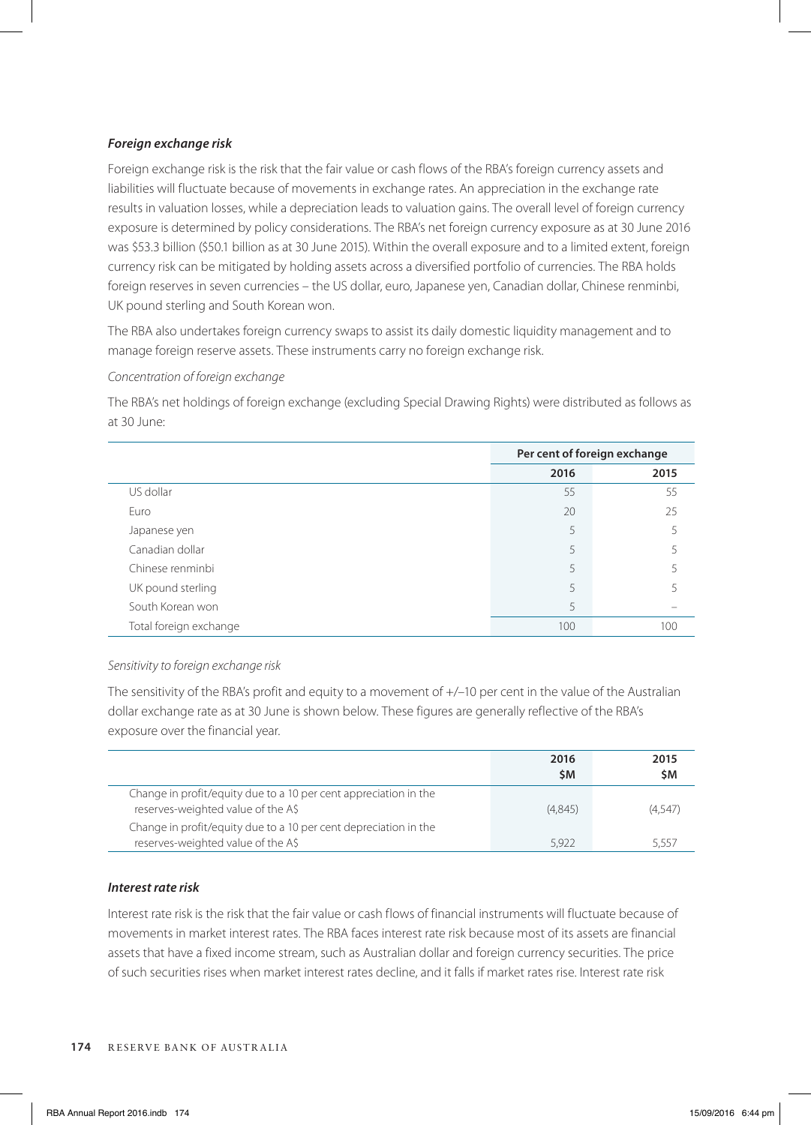# *Foreign exchange risk*

Foreign exchange risk is the risk that the fair value or cash flows of the RBA's foreign currency assets and liabilities will fluctuate because of movements in exchange rates. An appreciation in the exchange rate results in valuation losses, while a depreciation leads to valuation gains. The overall level of foreign currency exposure is determined by policy considerations. The RBA's net foreign currency exposure as at 30 June 2016 was \$53.3 billion (\$50.1 billion as at 30 June 2015). Within the overall exposure and to a limited extent, foreign currency risk can be mitigated by holding assets across a diversified portfolio of currencies. The RBA holds foreign reserves in seven currencies – the US dollar, euro, Japanese yen, Canadian dollar, Chinese renminbi, UK pound sterling and South Korean won.

The RBA also undertakes foreign currency swaps to assist its daily domestic liquidity management and to manage foreign reserve assets. These instruments carry no foreign exchange risk.

# *Concentration of foreign exchange*

The RBA's net holdings of foreign exchange (excluding Special Drawing Rights) were distributed as follows as at 30 June:

|                        | Per cent of foreign exchange |      |  |
|------------------------|------------------------------|------|--|
|                        | 2016                         | 2015 |  |
| US dollar              | 55                           | 55   |  |
| Euro                   | 20                           | 25   |  |
| Japanese yen           | 5                            |      |  |
| Canadian dollar        | 5                            |      |  |
| Chinese renminbi       | 5                            |      |  |
| UK pound sterling      | 5                            |      |  |
| South Korean won       | 5                            |      |  |
| Total foreign exchange | 100                          | 100  |  |

# *Sensitivity to foreign exchange risk*

The sensitivity of the RBA's profit and equity to a movement of  $+/-10$  per cent in the value of the Australian dollar exchange rate as at 30 June is shown below. These figures are generally reflective of the RBA's exposure over the financial year.

|                                                                                                        | 2016<br>\$M | 2015<br>\$Μ |
|--------------------------------------------------------------------------------------------------------|-------------|-------------|
| Change in profit/equity due to a 10 per cent appreciation in the<br>reserves-weighted value of the A\$ | (4.845)     | (4.547)     |
| Change in profit/equity due to a 10 per cent depreciation in the<br>reserves-weighted value of the A\$ | 5.922       | 5.557       |

# *Interest rate risk*

Interest rate risk is the risk that the fair value or cash flows of financial instruments will fluctuate because of movements in market interest rates. The RBA faces interest rate risk because most of its assets are financial assets that have a fixed income stream, such as Australian dollar and foreign currency securities. The price of such securities rises when market interest rates decline, and it falls if market rates rise. Interest rate risk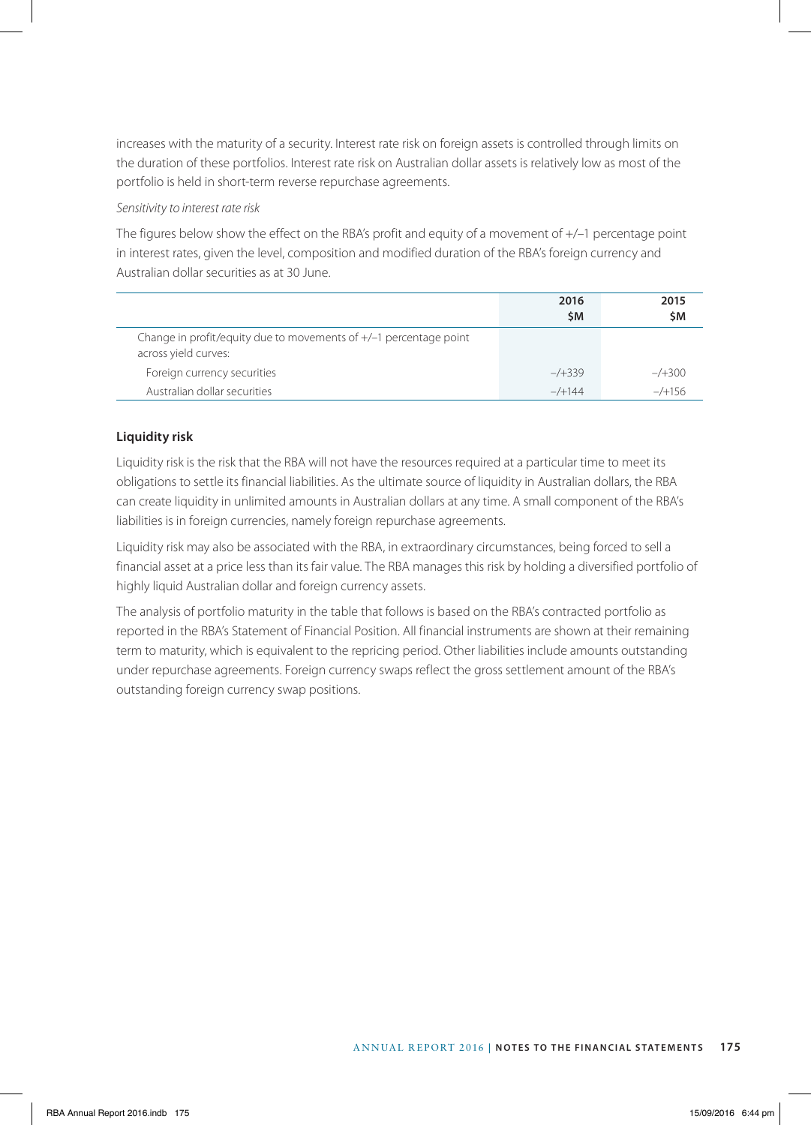increases with the maturity of a security. Interest rate risk on foreign assets is controlled through limits on the duration of these portfolios. Interest rate risk on Australian dollar assets is relatively low as most of the portfolio is held in short-term reverse repurchase agreements.

# *Sensitivity to interest rate risk*

The figures below show the effect on the RBA's profit and equity of a movement of +/–1 percentage point in interest rates, given the level, composition and modified duration of the RBA's foreign currency and Australian dollar securities as at 30 June.

|                                                                                             | 2016<br><b>SM</b> | 2015<br>\$Μ |
|---------------------------------------------------------------------------------------------|-------------------|-------------|
| Change in profit/equity due to movements of $+/-1$ percentage point<br>across yield curves: |                   |             |
| Foreign currency securities                                                                 | $-7+339$          | $-7+300$    |
| Australian dollar securities                                                                | $-/-144$          | $-$ /+156   |

# **Liquidity risk**

Liquidity risk is the risk that the RBA will not have the resources required at a particular time to meet its obligations to settle its financial liabilities. As the ultimate source of liquidity in Australian dollars, the RBA can create liquidity in unlimited amounts in Australian dollars at any time. A small component of the RBA's liabilities is in foreign currencies, namely foreign repurchase agreements.

Liquidity risk may also be associated with the RBA, in extraordinary circumstances, being forced to sell a financial asset at a price less than its fair value. The RBA manages this risk by holding a diversified portfolio of highly liquid Australian dollar and foreign currency assets.

The analysis of portfolio maturity in the table that follows is based on the RBA's contracted portfolio as reported in the RBA's Statement of Financial Position. All financial instruments are shown at their remaining term to maturity, which is equivalent to the repricing period. Other liabilities include amounts outstanding under repurchase agreements. Foreign currency swaps reflect the gross settlement amount of the RBA's outstanding foreign currency swap positions.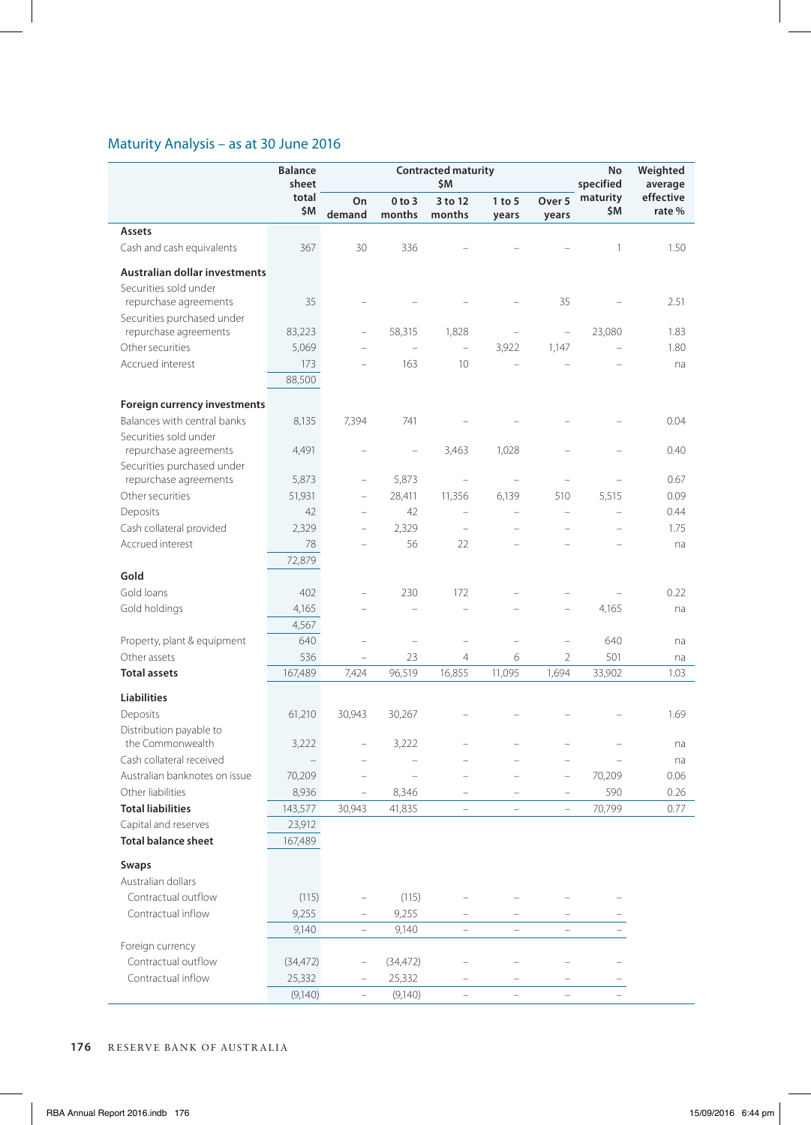# Maturity Analysis – as at 30 June 2016

|                                                     | <b>Balance</b><br>sheet | <b>Contracted maturity</b><br>\$M |                      |                                   |                          |                                   |                 |                     |  | No<br>specified | Weighted<br>average |
|-----------------------------------------------------|-------------------------|-----------------------------------|----------------------|-----------------------------------|--------------------------|-----------------------------------|-----------------|---------------------|--|-----------------|---------------------|
|                                                     | total<br>\$M            | On<br>demand                      | $0$ to $3$<br>months | 3 to 12<br>months                 | $1$ to $5$<br>years      | Over 5<br>years                   | maturity<br>\$M | effective<br>rate % |  |                 |                     |
| Assets                                              |                         |                                   |                      |                                   |                          |                                   |                 |                     |  |                 |                     |
| Cash and cash equivalents                           | 367                     | 30                                | 336                  |                                   |                          |                                   | 1               | 1.50                |  |                 |                     |
| Australian dollar investments                       |                         |                                   |                      |                                   |                          |                                   |                 |                     |  |                 |                     |
| Securities sold under                               |                         |                                   |                      |                                   |                          |                                   |                 |                     |  |                 |                     |
| repurchase agreements                               | 35                      |                                   |                      |                                   |                          | 35                                |                 | 2.51                |  |                 |                     |
| Securities purchased under                          |                         |                                   |                      |                                   |                          |                                   |                 |                     |  |                 |                     |
| repurchase agreements                               | 83,223                  |                                   | 58,315               | 1,828                             | $\overline{a}$           | $\hspace{0.1in} - \hspace{0.1in}$ | 23,080          | 1.83                |  |                 |                     |
| Other securities                                    | 5,069                   |                                   | Ē,                   | $\overline{\phantom{0}}$          | 3,922                    | 1,147                             |                 | 1.80                |  |                 |                     |
| Accrued interest                                    | 173<br>88,500           |                                   | 163                  | 10                                | L.                       |                                   |                 | na                  |  |                 |                     |
|                                                     |                         |                                   |                      |                                   |                          |                                   |                 |                     |  |                 |                     |
| <b>Foreign currency investments</b>                 |                         |                                   |                      |                                   |                          |                                   |                 |                     |  |                 |                     |
| Balances with central banks                         | 8,135                   | 7,394                             | 741                  |                                   |                          |                                   |                 | 0.04                |  |                 |                     |
| Securities sold under                               |                         |                                   |                      |                                   |                          |                                   |                 |                     |  |                 |                     |
| repurchase agreements                               | 4,491                   |                                   |                      | 3,463                             | 1,028                    |                                   |                 | 0.40                |  |                 |                     |
| Securities purchased under<br>repurchase agreements |                         | $\overline{\phantom{0}}$          | 5,873                | $\hspace{1.0cm} - \hspace{1.0cm}$ | L,                       |                                   |                 | 0.67                |  |                 |                     |
|                                                     | 5,873                   |                                   |                      |                                   |                          |                                   |                 |                     |  |                 |                     |
| Other securities                                    | 51,931                  | $\hspace{1.0cm} - \hspace{1.0cm}$ | 28,411               | 11,356                            | 6,139                    | 510                               | 5,515           | 0.09                |  |                 |                     |
| Deposits                                            | 42                      |                                   | 42                   | L.                                | L.                       | $\overline{\phantom{0}}$          |                 | 0.44                |  |                 |                     |
| Cash collateral provided                            | 2,329                   |                                   | 2,329                |                                   |                          |                                   |                 | 1.75                |  |                 |                     |
| Accrued interest                                    | 78                      |                                   | 56                   | 22                                |                          |                                   |                 | na                  |  |                 |                     |
|                                                     | 72,879                  |                                   |                      |                                   |                          |                                   |                 |                     |  |                 |                     |
| Gold                                                |                         |                                   |                      |                                   |                          |                                   |                 |                     |  |                 |                     |
| Gold loans                                          | 402                     |                                   | 230                  | 172                               |                          |                                   |                 | 0.22                |  |                 |                     |
| Gold holdings                                       | 4,165                   |                                   |                      |                                   |                          |                                   | 4,165           | na                  |  |                 |                     |
|                                                     | 4,567                   |                                   |                      |                                   |                          |                                   |                 |                     |  |                 |                     |
| Property, plant & equipment                         | 640                     |                                   | ÷                    | $\overline{\phantom{0}}$          | -                        | $\overline{\phantom{a}}$          | 640             | na                  |  |                 |                     |
| Other assets                                        | 536                     |                                   | 23                   | $\overline{4}$                    | 6                        | $\overline{2}$                    | 501             | na                  |  |                 |                     |
| <b>Total assets</b>                                 | 167,489                 | 7,424                             | 96,519               | 16,855                            | 11,095                   | 1,694                             | 33,902          | 1.03                |  |                 |                     |
| <b>Liabilities</b>                                  |                         |                                   |                      |                                   |                          |                                   |                 |                     |  |                 |                     |
| Deposits                                            | 61,210                  | 30,943                            | 30,267               |                                   |                          |                                   |                 | 1.69                |  |                 |                     |
| Distribution payable to                             |                         |                                   |                      |                                   |                          |                                   |                 |                     |  |                 |                     |
| the Commonwealth                                    | 3,222                   | $\overline{\phantom{0}}$          | 3,222                |                                   |                          |                                   |                 | na                  |  |                 |                     |
| Cash collateral received                            |                         |                                   |                      |                                   |                          |                                   |                 | na                  |  |                 |                     |
| Australian banknotes on issue                       | 70,209                  |                                   |                      |                                   |                          | $\hspace{1.0cm} - \hspace{1.0cm}$ | 70,209          | 0.06                |  |                 |                     |
| Other liabilities                                   | 8,936                   | $\qquad \qquad -$                 | 8,346                | $\qquad \qquad -$                 | $\qquad \qquad -$        | $\overline{\phantom{a}}$          | 590             | 0.26                |  |                 |                     |
| <b>Total liabilities</b>                            | 143,577                 | 30,943                            | 41,835               | $\overline{\phantom{0}}$          | $\overline{\phantom{0}}$ | $\overline{\phantom{0}}$          | 70,799          | 0.77                |  |                 |                     |
| Capital and reserves                                | 23,912                  |                                   |                      |                                   |                          |                                   |                 |                     |  |                 |                     |
| <b>Total balance sheet</b>                          | 167,489                 |                                   |                      |                                   |                          |                                   |                 |                     |  |                 |                     |
| Swaps                                               |                         |                                   |                      |                                   |                          |                                   |                 |                     |  |                 |                     |
| Australian dollars                                  |                         |                                   |                      |                                   |                          |                                   |                 |                     |  |                 |                     |
| Contractual outflow                                 | (115)                   |                                   | (115)                | i.                                |                          |                                   |                 |                     |  |                 |                     |
| Contractual inflow                                  | 9,255                   |                                   | 9,255                |                                   |                          |                                   |                 |                     |  |                 |                     |
|                                                     | 9,140                   | $\equiv$                          | 9,140                | $\overline{\phantom{0}}$          | $\equiv$                 | $\overline{\phantom{0}}$          |                 |                     |  |                 |                     |
| Foreign currency                                    |                         |                                   |                      |                                   |                          |                                   |                 |                     |  |                 |                     |
|                                                     |                         |                                   |                      |                                   |                          |                                   |                 |                     |  |                 |                     |
| Contractual outflow                                 | (34, 472)               | $\hspace{1.0cm} - \hspace{1.0cm}$ | (34, 472)            |                                   |                          |                                   |                 |                     |  |                 |                     |
| Contractual inflow                                  | 25,332                  |                                   | 25,332               |                                   |                          |                                   |                 |                     |  |                 |                     |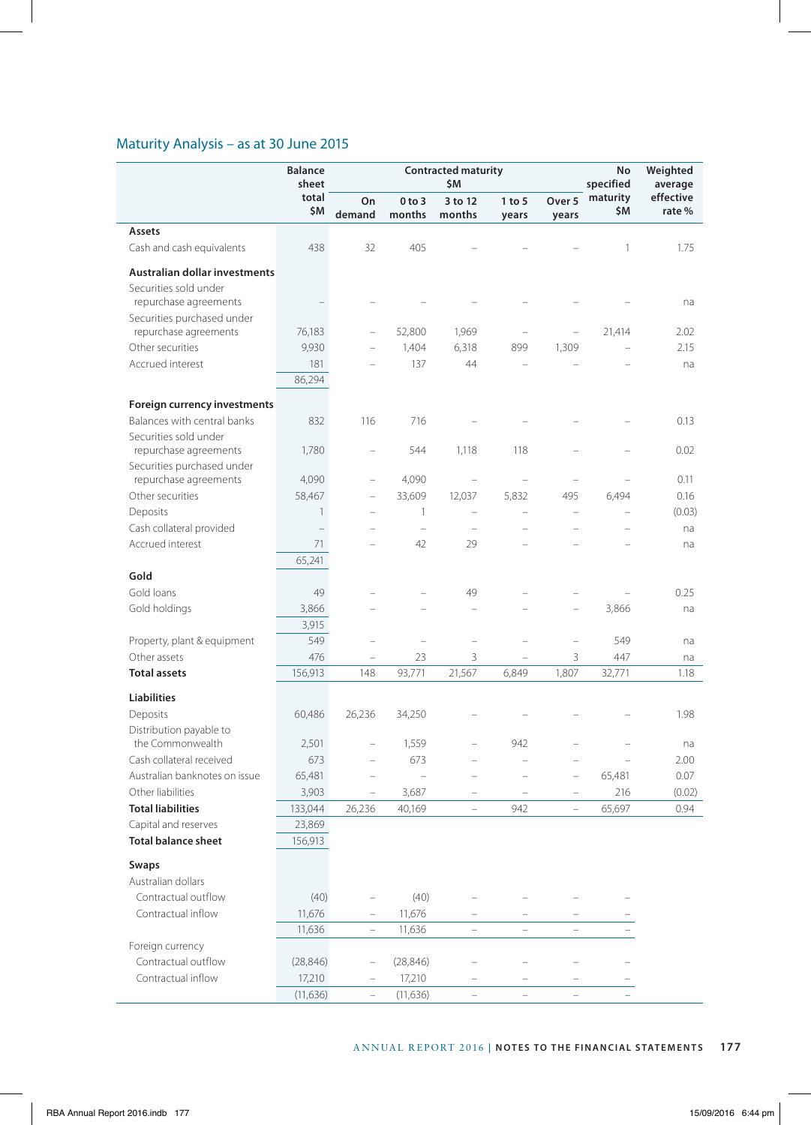# Maturity Analysis – as at 30 June 2015

|                                      | <b>Balance</b><br>sheet |                          |                                   | <b>Contracted maturity</b><br>\$M |                          |                          | No<br>specified          | Weighted<br>average |
|--------------------------------------|-------------------------|--------------------------|-----------------------------------|-----------------------------------|--------------------------|--------------------------|--------------------------|---------------------|
|                                      | total<br>\$M            | On<br>demand             | $0$ to $3$<br>months              | 3 to 12<br>months                 | $1$ to $5$<br>years      | Over 5<br>years          | maturity<br>\$M          | effective<br>rate%  |
| Assets                               |                         |                          |                                   |                                   |                          |                          |                          |                     |
| Cash and cash equivalents            | 438                     | 32                       | 405                               |                                   |                          |                          | 1                        | 1.75                |
| <b>Australian dollar investments</b> |                         |                          |                                   |                                   |                          |                          |                          |                     |
| Securities sold under                |                         |                          |                                   |                                   |                          |                          |                          |                     |
| repurchase agreements                |                         |                          |                                   |                                   |                          |                          |                          | na                  |
| Securities purchased under           |                         |                          |                                   |                                   |                          |                          |                          |                     |
| repurchase agreements                | 76,183                  | $\overline{\phantom{0}}$ | 52,800                            | 1,969                             | $\overline{\phantom{0}}$ | $\overline{\phantom{0}}$ | 21,414                   | 2.02                |
| Other securities                     | 9,930                   |                          | 1,404                             | 6,318                             | 899                      | 1,309                    |                          | 2.15                |
| Accrued interest                     | 181                     |                          | 137                               | 44                                | L,                       |                          |                          | na                  |
|                                      | 86,294                  |                          |                                   |                                   |                          |                          |                          |                     |
| Foreign currency investments         |                         |                          |                                   |                                   |                          |                          |                          |                     |
| Balances with central banks          | 832                     | 116                      | 716                               |                                   |                          |                          |                          | 0.13                |
| Securities sold under                |                         |                          |                                   |                                   |                          |                          |                          |                     |
| repurchase agreements                | 1,780                   | $\overline{\phantom{0}}$ | 544                               | 1,118                             | 118                      |                          |                          | 0.02                |
| Securities purchased under           |                         |                          |                                   |                                   |                          |                          |                          |                     |
| repurchase agreements                | 4,090                   | $\overline{\phantom{0}}$ | 4,090                             | $\overline{\phantom{a}}$          |                          |                          |                          | 0.11                |
| Other securities                     | 58,467                  | $\qquad \qquad -$        | 33,609                            | 12,037                            | 5,832                    | 495                      | 6,494                    | 0.16                |
| Deposits                             | $\mathbf{1}$            | $\overline{\phantom{0}}$ | 1                                 | $\qquad \qquad -$                 | L,                       | ÷                        | $\overline{a}$           | (0.03)              |
| Cash collateral provided             |                         |                          | $\hspace{0.1in} - \hspace{0.1in}$ | $\overline{\phantom{a}}$          |                          |                          | $\overline{\phantom{0}}$ | na                  |
| Accrued interest                     | 71                      |                          | 42                                | 29                                |                          |                          |                          | na                  |
|                                      | 65,241                  |                          |                                   |                                   |                          |                          |                          |                     |
| Gold                                 |                         |                          |                                   |                                   |                          |                          |                          |                     |
| Gold loans                           | 49                      |                          |                                   | 49                                |                          |                          |                          | 0.25                |
| Gold holdings                        | 3,866                   |                          |                                   |                                   |                          |                          | 3,866                    | na                  |
|                                      | 3,915                   |                          |                                   |                                   |                          |                          |                          |                     |
| Property, plant & equipment          | 549                     |                          | -                                 |                                   |                          | ۰                        | 549                      | na                  |
| Other assets                         | 476                     |                          | 23                                | 3                                 |                          | 3                        | 447                      | na                  |
| <b>Total assets</b>                  | 156,913                 | 148                      | 93,771                            | 21,567                            | 6,849                    | 1,807                    | 32,771                   | 1.18                |
| Liabilities                          |                         |                          |                                   |                                   |                          |                          |                          |                     |
| Deposits                             | 60,486                  | 26,236                   | 34,250                            |                                   |                          |                          |                          | 1.98                |
| Distribution payable to              |                         |                          |                                   |                                   |                          |                          |                          |                     |
| the Commonwealth                     | 2,501                   | $\overline{\phantom{0}}$ | 1,559                             |                                   | 942                      |                          |                          | na                  |
| Cash collateral received             | 673                     |                          | 673                               |                                   | L,                       |                          |                          | 2.00                |
| Australian banknotes on issue        | 65,481                  |                          | L.                                |                                   |                          | L,                       | 65,481                   | 0.07                |
| Other liabilities                    | 3,903                   | $\overline{\phantom{0}}$ | 3,687                             |                                   |                          |                          | 216                      | (0.02)              |
| <b>Total liabilities</b>             | 133,044                 | 26,236                   | 40,169                            | $\overline{\phantom{0}}$          | 942                      | $\overline{\phantom{0}}$ | 65,697                   | 0.94                |
| Capital and reserves                 | 23,869                  |                          |                                   |                                   |                          |                          |                          |                     |
| <b>Total balance sheet</b>           | 156,913                 |                          |                                   |                                   |                          |                          |                          |                     |
| Swaps                                |                         |                          |                                   |                                   |                          |                          |                          |                     |
| Australian dollars                   |                         |                          |                                   |                                   |                          |                          |                          |                     |
| Contractual outflow                  | (40)                    |                          | (40)                              |                                   |                          |                          |                          |                     |
| Contractual inflow                   | 11,676                  | $\qquad \qquad -$        | 11,676                            |                                   | -                        |                          |                          |                     |
|                                      | 11,636                  |                          | 11,636                            | $\overline{\phantom{a}}$          | L,                       |                          |                          |                     |
| Foreign currency                     |                         |                          |                                   |                                   |                          |                          |                          |                     |
| Contractual outflow                  | (28, 846)               |                          | (28, 846)                         |                                   |                          |                          |                          |                     |
| Contractual inflow                   | 17,210                  | $\overline{\phantom{0}}$ | 17,210                            |                                   |                          |                          |                          |                     |
|                                      | (11, 636)               | $\qquad \qquad -$        | (11, 636)                         | $\overline{\phantom{0}}$          | $\overline{a}$           |                          |                          |                     |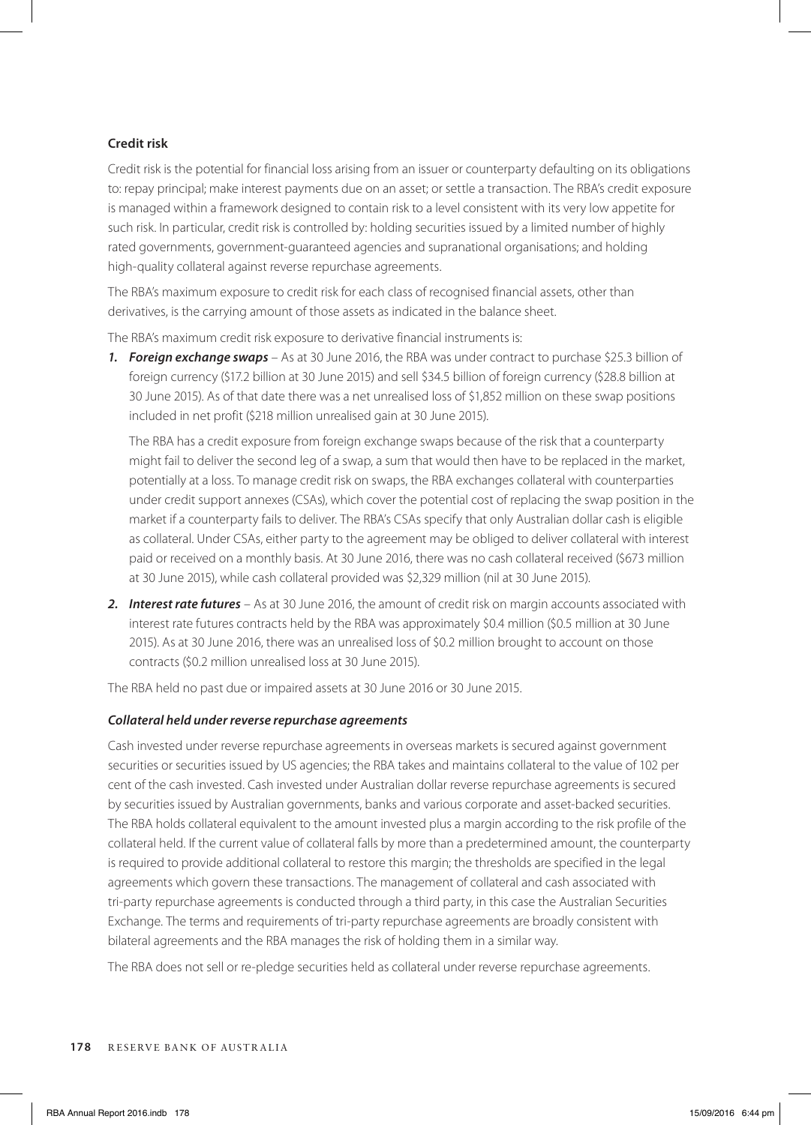# **Credit risk**

Credit risk is the potential for financial loss arising from an issuer or counterparty defaulting on its obligations to: repay principal; make interest payments due on an asset; or settle a transaction. The RBA's credit exposure is managed within a framework designed to contain risk to a level consistent with its very low appetite for such risk. In particular, credit risk is controlled by: holding securities issued by a limited number of highly rated governments, government-guaranteed agencies and supranational organisations; and holding high-quality collateral against reverse repurchase agreements.

The RBA's maximum exposure to credit risk for each class of recognised financial assets, other than derivatives, is the carrying amount of those assets as indicated in the balance sheet.

The RBA's maximum credit risk exposure to derivative financial instruments is:

*1. Foreign exchange swaps* – As at 30 June 2016, the RBA was under contract to purchase \$25.3 billion of foreign currency (\$17.2 billion at 30 June 2015) and sell \$34.5 billion of foreign currency (\$28.8 billion at 30 June 2015). As of that date there was a net unrealised loss of \$1,852 million on these swap positions included in net profit (\$218 million unrealised gain at 30 June 2015).

The RBA has a credit exposure from foreign exchange swaps because of the risk that a counterparty might fail to deliver the second leg of a swap, a sum that would then have to be replaced in the market, potentially at a loss. To manage credit risk on swaps, the RBA exchanges collateral with counterparties under credit support annexes (CSAs), which cover the potential cost of replacing the swap position in the market if a counterparty fails to deliver. The RBA's CSAs specify that only Australian dollar cash is eligible as collateral. Under CSAs, either party to the agreement may be obliged to deliver collateral with interest paid or received on a monthly basis. At 30 June 2016, there was no cash collateral received (\$673 million at 30 June 2015), while cash collateral provided was \$2,329 million (nil at 30 June 2015).

*2. Interest rate futures* – As at 30 June 2016, the amount of credit risk on margin accounts associated with interest rate futures contracts held by the RBA was approximately \$0.4 million (\$0.5 million at 30 June 2015). As at 30 June 2016, there was an unrealised loss of \$0.2 million brought to account on those contracts (\$0.2 million unrealised loss at 30 June 2015).

The RBA held no past due or impaired assets at 30 June 2016 or 30 June 2015.

# *Collateral held under reverse repurchase agreements*

Cash invested under reverse repurchase agreements in overseas markets is secured against government securities or securities issued by US agencies; the RBA takes and maintains collateral to the value of 102 per cent of the cash invested. Cash invested under Australian dollar reverse repurchase agreements is secured by securities issued by Australian governments, banks and various corporate and asset-backed securities. The RBA holds collateral equivalent to the amount invested plus a margin according to the risk profile of the collateral held. If the current value of collateral falls by more than a predetermined amount, the counterparty is required to provide additional collateral to restore this margin; the thresholds are specified in the legal agreements which govern these transactions. The management of collateral and cash associated with tri-party repurchase agreements is conducted through a third party, in this case the Australian Securities Exchange. The terms and requirements of tri-party repurchase agreements are broadly consistent with bilateral agreements and the RBA manages the risk of holding them in a similar way.

The RBA does not sell or re-pledge securities held as collateral under reverse repurchase agreements.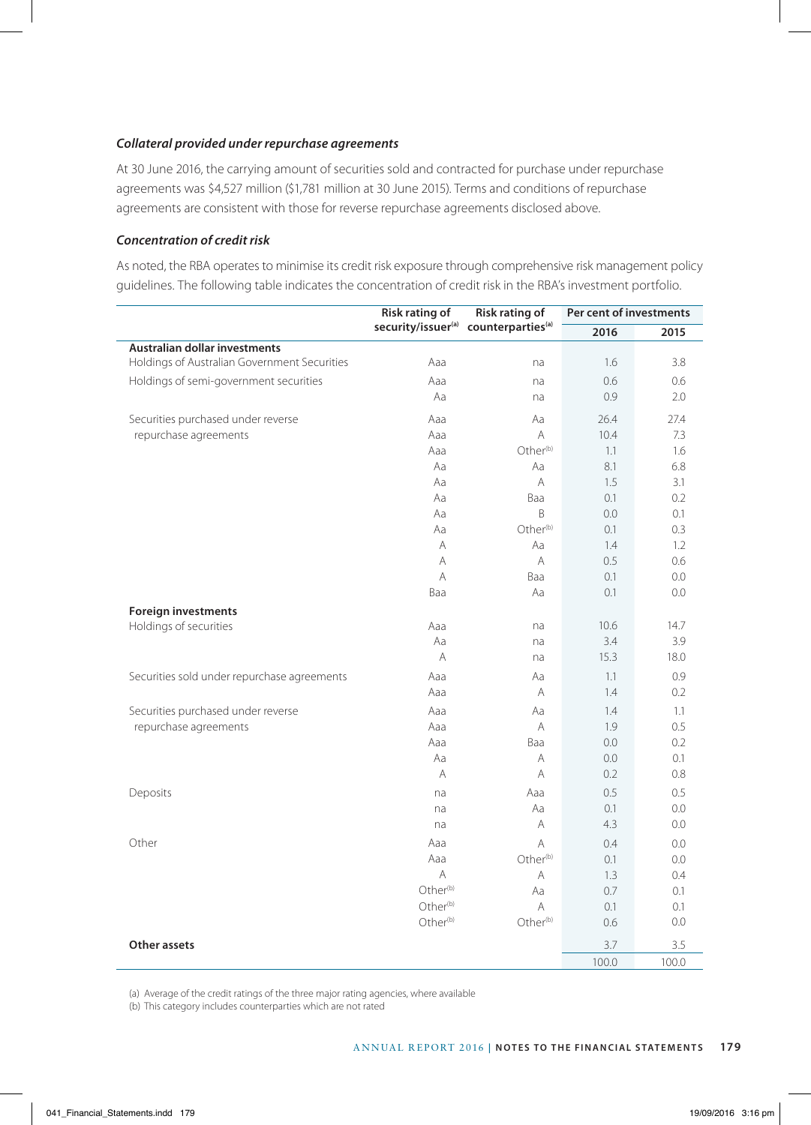# *Collateral provided under repurchase agreements*

At 30 June 2016, the carrying amount of securities sold and contracted for purchase under repurchase agreements was \$4,527 million (\$1,781 million at 30 June 2015). Terms and conditions of repurchase agreements are consistent with those for reverse repurchase agreements disclosed above.

# *Concentration of credit risk*

As noted, the RBA operates to minimise its credit risk exposure through comprehensive risk management policy guidelines. The following table indicates the concentration of credit risk in the RBA's investment portfolio.

|                                              | <b>Risk rating of</b> | Risk rating of                                               | Per cent of investments |         |  |
|----------------------------------------------|-----------------------|--------------------------------------------------------------|-------------------------|---------|--|
|                                              |                       | security/issuer <sup>(a)</sup> counterparties <sup>(a)</sup> | 2016                    | 2015    |  |
| Australian dollar investments                |                       |                                                              |                         |         |  |
| Holdings of Australian Government Securities | Aaa                   | na                                                           | 1.6                     | 3.8     |  |
| Holdings of semi-government securities       | Aaa                   | na                                                           | 0.6                     | 0.6     |  |
|                                              | Aa                    | na                                                           | 0.9                     | 2.0     |  |
| Securities purchased under reverse           | Aaa                   | Aa                                                           | 26.4                    | 27.4    |  |
| repurchase agreements                        | Aaa                   | A                                                            | 10.4                    | 7.3     |  |
|                                              | Aaa                   | Other <sup>(b)</sup>                                         | 1.1                     | 1.6     |  |
|                                              | Aa                    | Aa                                                           | 8.1                     | 6.8     |  |
|                                              | Aa                    | A                                                            | 1.5                     | 3.1     |  |
|                                              | Aa                    | Baa                                                          | 0.1                     | 0.2     |  |
|                                              | Aa                    | B                                                            | 0.0                     | 0.1     |  |
|                                              | Aa                    | Other <sup>(b)</sup>                                         | 0.1                     | 0.3     |  |
|                                              | A                     | Aa                                                           | 1.4                     | 1.2     |  |
|                                              | A                     | $\overline{A}$                                               | 0.5                     | 0.6     |  |
|                                              | A                     | Baa                                                          | 0.1                     | $0.0\,$ |  |
|                                              | Baa                   | Aa                                                           | 0.1                     | 0.0     |  |
| <b>Foreign investments</b>                   |                       |                                                              |                         |         |  |
| Holdings of securities                       | Aaa                   | na                                                           | 10.6                    | 14.7    |  |
|                                              | Aa                    | na                                                           | 3.4                     | 3.9     |  |
|                                              | A                     | na                                                           | 15.3                    | 18.0    |  |
| Securities sold under repurchase agreements  | Aaa                   | Aa                                                           | 1.1                     | 0.9     |  |
|                                              | Aaa                   | A                                                            | 1.4                     | 0.2     |  |
| Securities purchased under reverse           | Aaa                   | Aa                                                           | 1.4                     | 1.1     |  |
| repurchase agreements                        | Aaa                   | A                                                            | 1.9                     | 0.5     |  |
|                                              | Aaa                   | Baa                                                          | 0.0                     | 0.2     |  |
|                                              | Aa                    | A                                                            | 0.0                     | 0.1     |  |
|                                              | A                     | A                                                            | 0.2                     | 0.8     |  |
| Deposits                                     | na                    | Aaa                                                          | 0.5                     | 0.5     |  |
|                                              | na                    | Aa                                                           | 0.1                     | 0.0     |  |
|                                              | na                    | A                                                            | 4.3                     | 0.0     |  |
| Other                                        | Aaa                   | A                                                            | 0.4                     | 0.0     |  |
|                                              | Aaa                   | Other <sup>(b)</sup>                                         | 0.1                     | 0.0     |  |
|                                              | Α                     | A                                                            | 1.3                     | 0.4     |  |
|                                              | Other <sup>(b)</sup>  | Aa                                                           | 0.7                     | 0.1     |  |
|                                              | Other <sup>(b)</sup>  | A                                                            | 0.1                     | 0.1     |  |
|                                              | Other <sup>(b)</sup>  | Other <sup>(b)</sup>                                         | 0.6                     | 0.0     |  |
| Other assets                                 |                       |                                                              | 3.7                     | 3.5     |  |
|                                              |                       |                                                              | 100.0                   | 100.0   |  |

(a) Average of the credit ratings of the three major rating agencies, where available

(b) This category includes counterparties which are not rated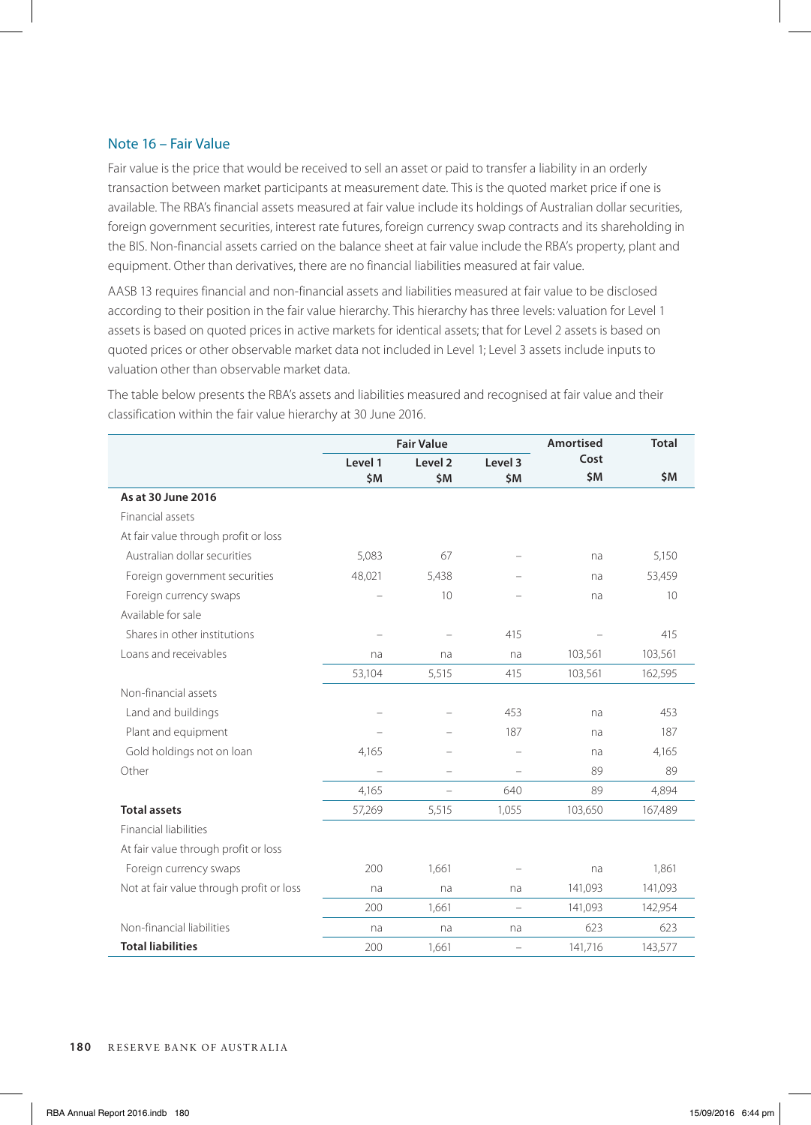# Note 16 – Fair Value

Fair value is the price that would be received to sell an asset or paid to transfer a liability in an orderly transaction between market participants at measurement date. This is the quoted market price if one is available. The RBA's financial assets measured at fair value include its holdings of Australian dollar securities, foreign government securities, interest rate futures, foreign currency swap contracts and its shareholding in the BIS. Non-financial assets carried on the balance sheet at fair value include the RBA's property, plant and equipment. Other than derivatives, there are no financial liabilities measured at fair value.

AASB 13 requires financial and non-financial assets and liabilities measured at fair value to be disclosed according to their position in the fair value hierarchy. This hierarchy has three levels: valuation for Level 1 assets is based on quoted prices in active markets for identical assets; that for Level 2 assets is based on quoted prices or other observable market data not included in Level 1; Level 3 assets include inputs to valuation other than observable market data.

|                                          |         | <b>Fair Value</b>  |                          | <b>Amortised</b> | <b>Total</b> |
|------------------------------------------|---------|--------------------|--------------------------|------------------|--------------|
|                                          | Level 1 | Level <sub>2</sub> | Level 3                  | Cost             |              |
|                                          | \$M     | \$M                | \$M                      | \$M              | \$M          |
| As at 30 June 2016                       |         |                    |                          |                  |              |
| Financial assets                         |         |                    |                          |                  |              |
| At fair value through profit or loss     |         |                    |                          |                  |              |
| Australian dollar securities             | 5,083   | 67                 |                          | na               | 5,150        |
| Foreign government securities            | 48,021  | 5,438              |                          | na               | 53,459       |
| Foreign currency swaps                   |         | 10                 |                          | na               | 10           |
| Available for sale                       |         |                    |                          |                  |              |
| Shares in other institutions             |         |                    | 415                      |                  | 415          |
| Loans and receivables                    | na      | na                 | na                       | 103,561          | 103,561      |
|                                          | 53,104  | 5,515              | 415                      | 103,561          | 162,595      |
| Non-financial assets                     |         |                    |                          |                  |              |
| Land and buildings                       |         |                    | 453                      | na               | 453          |
| Plant and equipment                      |         |                    | 187                      | na               | 187          |
| Gold holdings not on loan                | 4,165   |                    |                          | na               | 4,165        |
| Other                                    |         | ÷,                 | $\overline{\phantom{0}}$ | 89               | 89           |
|                                          | 4,165   | $\overline{a}$     | 640                      | 89               | 4,894        |
| <b>Total assets</b>                      | 57,269  | 5,515              | 1,055                    | 103,650          | 167,489      |
| <b>Financial liabilities</b>             |         |                    |                          |                  |              |
| At fair value through profit or loss     |         |                    |                          |                  |              |
| Foreign currency swaps                   | 200     | 1.661              |                          | na               | 1,861        |
| Not at fair value through profit or loss | na      | na                 | na                       | 141,093          | 141,093      |
|                                          | 200     | 1,661              | $\overline{\phantom{0}}$ | 141,093          | 142,954      |
| Non-financial liabilities                | na      | na                 | na                       | 623              | 623          |
| <b>Total liabilities</b>                 | 200     | 1,661              | $\overline{\phantom{0}}$ | 141,716          | 143,577      |

The table below presents the RBA's assets and liabilities measured and recognised at fair value and their classification within the fair value hierarchy at 30 June 2016.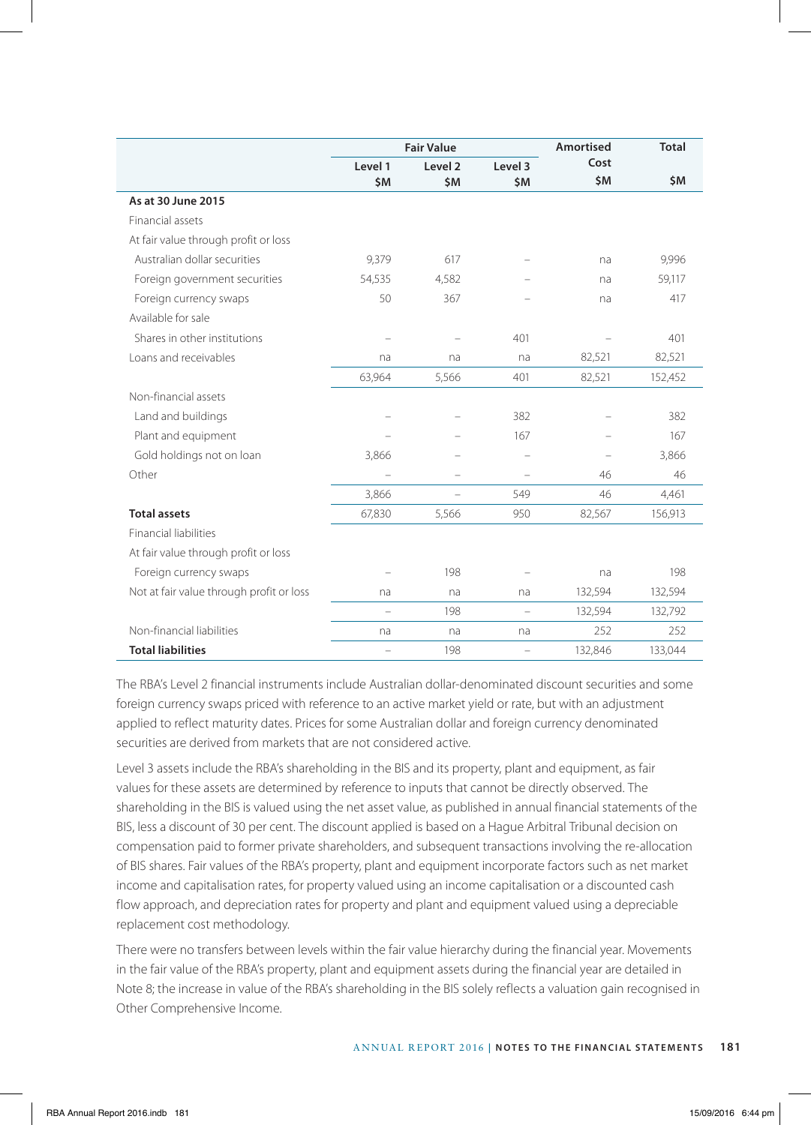|                                          |                   | <b>Fair Value</b>  |                   | Amortised | <b>Total</b> |
|------------------------------------------|-------------------|--------------------|-------------------|-----------|--------------|
|                                          | Level 1           | Level <sub>2</sub> | Level 3           | Cost      |              |
|                                          | \$M               | \$M                | \$M               | \$M       | \$M          |
| As at 30 June 2015                       |                   |                    |                   |           |              |
| Financial assets                         |                   |                    |                   |           |              |
| At fair value through profit or loss     |                   |                    |                   |           |              |
| Australian dollar securities             | 9,379             | 617                |                   | na        | 9,996        |
| Foreign government securities            | 54,535            | 4,582              |                   | na        | 59,117       |
| Foreign currency swaps                   | 50                | 367                |                   | na        | 417          |
| Available for sale                       |                   |                    |                   |           |              |
| Shares in other institutions             |                   |                    | 401               |           | 401          |
| Loans and receivables                    | na                | na                 | na                | 82,521    | 82,521       |
|                                          | 63,964            | 5,566              | 401               | 82,521    | 152,452      |
| Non-financial assets                     |                   |                    |                   |           |              |
| Land and buildings                       |                   |                    | 382               |           | 382          |
| Plant and equipment                      |                   |                    | 167               |           | 167          |
| Gold holdings not on loan                | 3,866             |                    |                   |           | 3,866        |
| Other                                    |                   |                    | $\qquad \qquad -$ | 46        | 46           |
|                                          | 3,866             | $\equiv$           | 549               | 46        | 4,461        |
| <b>Total assets</b>                      | 67,830            | 5,566              | 950               | 82,567    | 156,913      |
| <b>Financial liabilities</b>             |                   |                    |                   |           |              |
| At fair value through profit or loss     |                   |                    |                   |           |              |
| Foreign currency swaps                   |                   | 198                |                   | na        | 198          |
| Not at fair value through profit or loss | na                | na                 | na                | 132,594   | 132,594      |
|                                          |                   | 198                |                   | 132,594   | 132,792      |
| Non-financial liabilities                | na                | na                 | na                | 252       | 252          |
| <b>Total liabilities</b>                 | $\qquad \qquad -$ | 198                | $\qquad \qquad -$ | 132,846   | 133,044      |

The RBA's Level 2 financial instruments include Australian dollar-denominated discount securities and some foreign currency swaps priced with reference to an active market yield or rate, but with an adjustment applied to reflect maturity dates. Prices for some Australian dollar and foreign currency denominated securities are derived from markets that are not considered active.

Level 3 assets include the RBA's shareholding in the BIS and its property, plant and equipment, as fair values for these assets are determined by reference to inputs that cannot be directly observed. The shareholding in the BIS is valued using the net asset value, as published in annual financial statements of the BIS, less a discount of 30 per cent. The discount applied is based on a Hague Arbitral Tribunal decision on compensation paid to former private shareholders, and subsequent transactions involving the re-allocation of BIS shares. Fair values of the RBA's property, plant and equipment incorporate factors such as net market income and capitalisation rates, for property valued using an income capitalisation or a discounted cash flow approach, and depreciation rates for property and plant and equipment valued using a depreciable replacement cost methodology.

There were no transfers between levels within the fair value hierarchy during the financial year. Movements in the fair value of the RBA's property, plant and equipment assets during the financial year are detailed in Note 8; the increase in value of the RBA's shareholding in the BIS solely reflects a valuation gain recognised in Other Comprehensive Income.